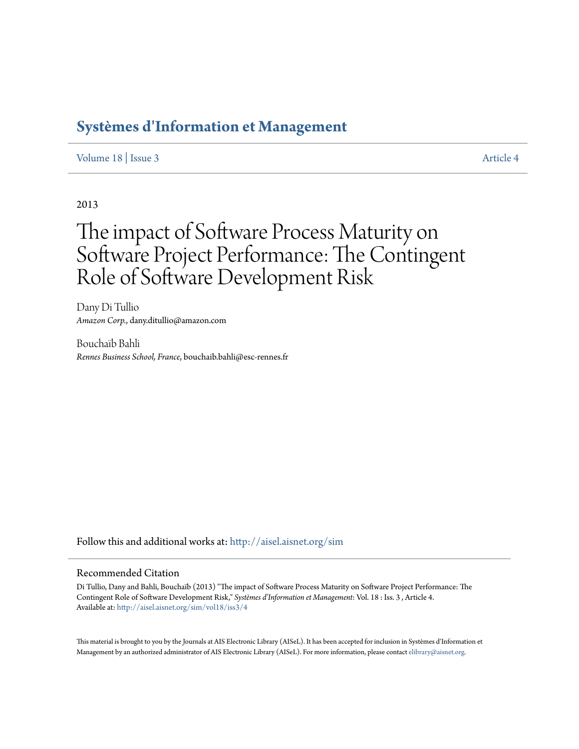## **[Systèmes d'Information et Management](http://aisel.aisnet.org/sim?utm_source=aisel.aisnet.org%2Fsim%2Fvol18%2Fiss3%2F4&utm_medium=PDF&utm_campaign=PDFCoverPages)**

## [Volume 18](http://aisel.aisnet.org/sim/vol18?utm_source=aisel.aisnet.org%2Fsim%2Fvol18%2Fiss3%2F4&utm_medium=PDF&utm_campaign=PDFCoverPages) | [Issue 3](http://aisel.aisnet.org/sim/vol18/iss3?utm_source=aisel.aisnet.org%2Fsim%2Fvol18%2Fiss3%2F4&utm_medium=PDF&utm_campaign=PDFCoverPages) [Article 4](http://aisel.aisnet.org/sim/vol18/iss3/4?utm_source=aisel.aisnet.org%2Fsim%2Fvol18%2Fiss3%2F4&utm_medium=PDF&utm_campaign=PDFCoverPages)

2013

# The impact of Software Process Maturity on Software Project Performance: The Contingent Role of Software Development Risk

Dany Di Tullio *Amazon Corp.*, dany.ditullio@amazon.com

Bouchaïb Bahli *Rennes Business School, France*, bouchaib.bahli@esc-rennes.fr

Follow this and additional works at: [http://aisel.aisnet.org/sim](http://aisel.aisnet.org/sim?utm_source=aisel.aisnet.org%2Fsim%2Fvol18%2Fiss3%2F4&utm_medium=PDF&utm_campaign=PDFCoverPages)

## Recommended Citation

Di Tullio, Dany and Bahli, Bouchaïb (2013) "The impact of Software Process Maturity on Software Project Performance: The Contingent Role of Software Development Risk," *Systèmes d'Information et Management*: Vol. 18 : Iss. 3 , Article 4. Available at: [http://aisel.aisnet.org/sim/vol18/iss3/4](http://aisel.aisnet.org/sim/vol18/iss3/4?utm_source=aisel.aisnet.org%2Fsim%2Fvol18%2Fiss3%2F4&utm_medium=PDF&utm_campaign=PDFCoverPages)

This material is brought to you by the Journals at AIS Electronic Library (AISeL). It has been accepted for inclusion in Systèmes d'Information et Management by an authorized administrator of AIS Electronic Library (AISeL). For more information, please contact [elibrary@aisnet.org](mailto:elibrary@aisnet.org%3E).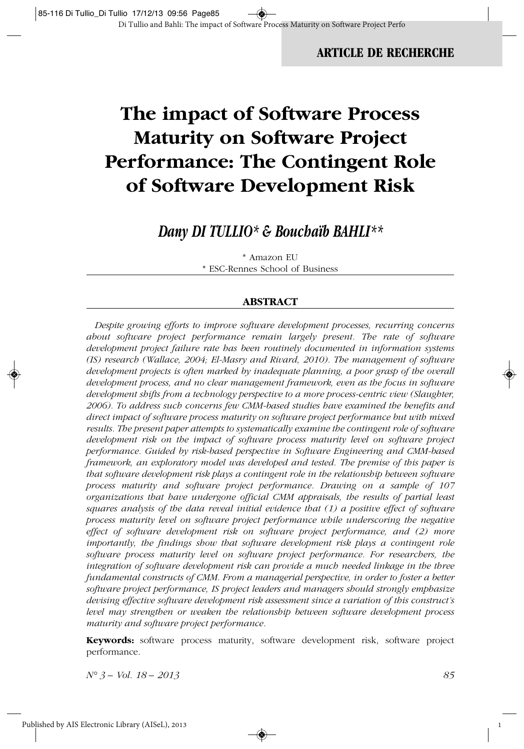## **ARTICLE DE RECHERCHE**

## **The impact of Software Process Maturity on Software Project Performance: The Contingent Role of Software Development Risk**

## *Dany DI TULLIO\* & Bouchaïb BAHLI\*\**

\* Amazon EU \* ESC-Rennes School of Business

#### **ABSTRACT**

*Despite growing efforts to improve software development processes, recurring concerns about software project performance remain largely present. The rate of software development project failure rate has been routinely documented in information systems (IS) research (Wallace, 2004; El-Masry and Rivard, 2010). The management of software development projects is often marked by inadequate planning, a poor grasp of the overall development process, and no clear management framework, even as the focus in software development shifts from a technology perspective to a more process-centric view (Slaughter, 2006). To address such concerns few CMM-based studies have examined the benefits and direct impact of software process maturity on software project performance but with mixed results. The present paper attempts to systematically examine the contingent role of software development risk on the impact of software process maturity level on software project performance. Guided by risk-based perspective in Software Engineering and CMM-based framework, an exploratory model was developed and tested. The premise of this paper is that software development risk plays a contingent role in the relationship between software process maturity and software project performance. Drawing on a sample of 107 organizations that have undergone official CMM appraisals, the results of partial least squares analysis of the data reveal initial evidence that (1) a positive effect of software process maturity level on software project performance while underscoring the negative effect of software development risk on software project performance, and (2) more importantly, the findings show that software development risk plays a contingent role software process maturity level on software project performance. For researchers, the integration of software development risk can provide a much needed linkage in the three fundamental constructs of CMM. From a managerial perspective, in order to foster a better software project performance, IS project leaders and managers should strongly emphasize devising effective software development risk assessment since a variation of this construct's level may strengthen or weaken the relationship between software development process maturity and software project performance.*

**Keywords:** software process maturity, software development risk, software project performance.

 $\circledast$ 

*N° 3 – Vol. 18 – 2013 85*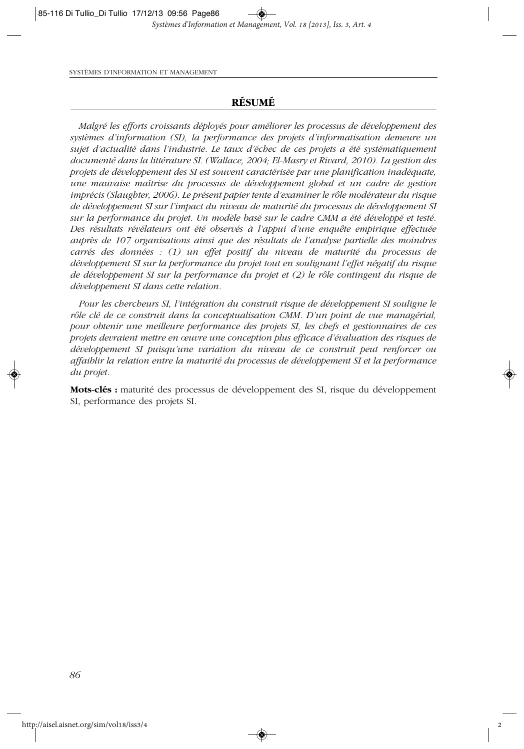#### **RÉSUMÉ**

*Malgré les efforts croissants déployés pour améliorer les processus de développement des systèmes d'information (SI), la performance des projets d'informatisation demeure un sujet d'actualité dans l'industrie. Le taux d'échec de ces projets a été systématiquement documenté dans la littérature SI. (Wallace, 2004; El-Masry et Rivard, 2010). La gestion des projets de développement des SI est souvent caractérisée par une planification inadéquate, une mauvaise maîtrise du processus de développement global et un cadre de gestion imprécis (Slaughter, 2006). Le présent papier tente d'examiner le rôle modérateur du risque de développement SI sur l'impact du niveau de maturité du processus de développement SI sur la performance du projet. Un modèle basé sur le cadre CMM a été développé et testé. Des résultats révélateurs ont été observés à l'appui d'une enquête empirique effectuée auprès de 107 organisations ainsi que des résultats de l'analyse partielle des moindres carrés des données : (1) un effet positif du niveau de maturité du processus de développement SI sur la performance du projet tout en soulignant l'effet négatif du risque de développement SI sur la performance du projet et (2) le rôle contingent du risque de développement SI dans cette relation.* 

*Pour les chercheurs SI, l'intégration du construit risque de développement SI souligne le rôle clé de ce construit dans la conceptualisation CMM. D'un point de vue managérial, pour obtenir une meilleure performance des projets SI, les chefs et gestionnaires de ces projets devraient mettre en œuvre une conception plus efficace d'évaluation des risques de développement SI puisqu'une variation du niveau de ce construit peut renforcer ou affaiblir la relation entre la maturité du processus de développement SI et la performance du projet.*

**Mots-clés :** maturité des processus de développement des SI, risque du développement SI, performance des projets SI.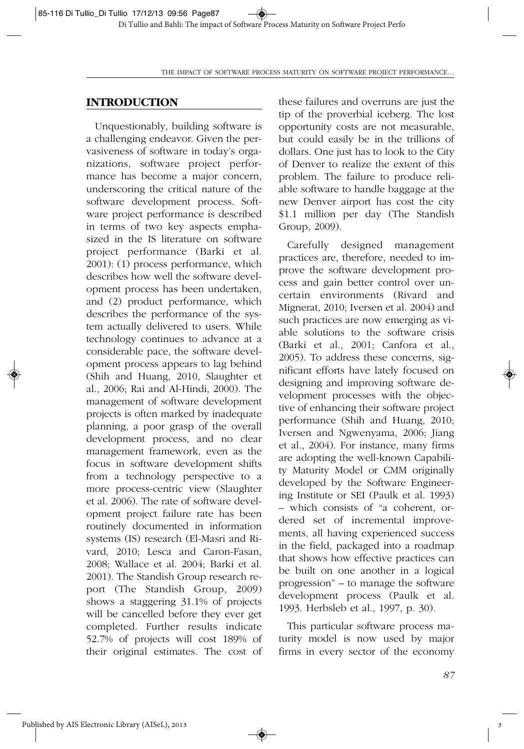## **INTRODUCTION**

Unquestionably, building software is a challenging endeavor. Given the pervasiveness of software in today's organizations, software project performance has become a major concern, underscoring the critical nature of the software development process. Software project performance is described in terms of two key aspects emphasized in the IS literature on software project performance (Barki et al. 2001): (1) process performance, which describes how well the software development process has been undertaken, and (2) product performance, which describes the performance of the system actually delivered to users. While technology continues to advance at a considerable pace, the software development process appears to lag behind (Shih and Huang, 2010, Slaughter et al., 2006; Rai and Al-Hindi, 2000). The management of software development projects is often marked by inadequate planning, a poor grasp of the overall development process, and no clear management framework, even as the focus in software development shifts from a technology perspective to a more process-centric view (Slaughter et al. 2006). The rate of software development project failure rate has been routinely documented in information systems (IS) research (El-Masri and Rivard, 2010; Lesca and Caron-Fasan, 2008; Wallace et al. 2004; Barki et al. 2001). The Standish Group research report (The Standish Group, 2009) shows a staggering 31.1% of projects will be cancelled before they ever get completed. Further results indicate 52.7% of projects will cost 189% of their original estimates. The cost of these failures and overruns are just the tip of the proverbial iceberg. The lost opportunity costs are not measurable, but could easily be in the trillions of dollars. One just has to look to the City of Denver to realize the extent of this problem. The failure to produce reliable software to handle baggage at the new Denver airport has cost the city \$1.1 million per day (The Standish Group, 2009).

Carefully designed management practices are, therefore, needed to improve the software development process and gain better control over uncertain environments (Rivard and Mignerat, 2010; Iversen et al. 2004) and such practices are now emerging as viable solutions to the software crisis (Barki et al., 2001; Canfora et al., 2005). To address these concerns, significant efforts have lately focused on designing and improving software development processes with the objective of enhancing their software project performance (Shih and Huang, 2010; Iversen and Ngwenyama, 2006; Jiang et al., 2004). For instance, many firms are adopting the well-known Capability Maturity Model or CMM originally developed by the Software Engineering Institute or SEI (Paulk et al. 1993) – which consists of "a coherent, ordered set of incremental improvements, all having experienced success in the field, packaged into a roadmap that shows how effective practices can be built on one another in a logical progression" – to manage the software development process (Paulk et al. 1993. Herbsleb et al., 1997, p. 30).

This particular software process maturity model is now used by major firms in every sector of the economy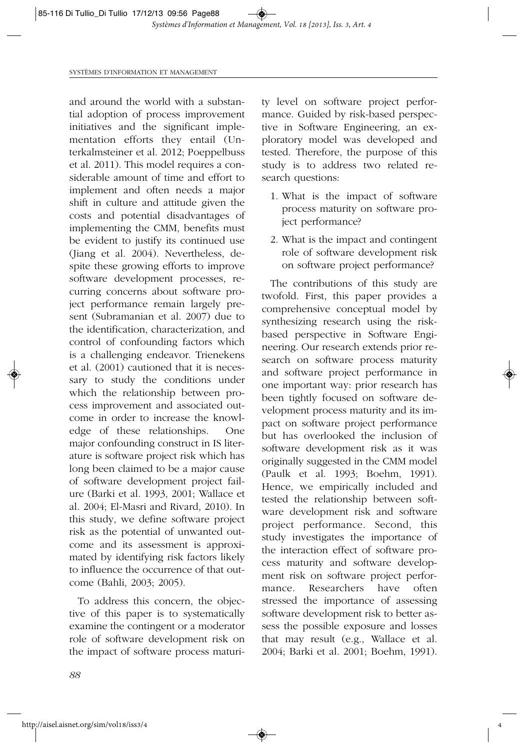and around the world with a substantial adoption of process improvement initiatives and the significant implementation efforts they entail (Unterkalmsteiner et al. 2012; Poeppelbuss et al. 2011). This model requires a considerable amount of time and effort to implement and often needs a major shift in culture and attitude given the costs and potential disadvantages of implementing the CMM, benefits must be evident to justify its continued use (Jiang et al. 2004). Nevertheless, despite these growing efforts to improve software development processes, recurring concerns about software project performance remain largely present (Subramanian et al. 2007) due to the identification, characterization, and control of confounding factors which is a challenging endeavor. Trienekens et al. (2001) cautioned that it is necessary to study the conditions under which the relationship between process improvement and associated outcome in order to increase the knowledge of these relationships. One major confounding construct in IS literature is software project risk which has long been claimed to be a major cause of software development project failure (Barki et al. 1993, 2001; Wallace et al. 2004; El-Masri and Rivard, 2010). In this study, we define software project risk as the potential of unwanted outcome and its assessment is approximated by identifying risk factors likely to influence the occurrence of that outcome (Bahli, 2003; 2005).

To address this concern, the objective of this paper is to systematically examine the contingent or a moderator role of software development risk on the impact of software process maturity level on software project performance. Guided by risk-based perspective in Software Engineering, an exploratory model was developed and tested. Therefore, the purpose of this study is to address two related research questions:

- 1. What is the impact of software process maturity on software project performance?
- 2. What is the impact and contingent role of software development risk on software project performance?

The contributions of this study are twofold. First, this paper provides a comprehensive conceptual model by synthesizing research using the riskbased perspective in Software Engineering. Our research extends prior research on software process maturity and software project performance in one important way: prior research has been tightly focused on software development process maturity and its impact on software project performance but has overlooked the inclusion of software development risk as it was originally suggested in the CMM model (Paulk et al. 1993; Boehm, 1991). Hence, we empirically included and tested the relationship between software development risk and software project performance. Second, this study investigates the importance of the interaction effect of software process maturity and software development risk on software project performance. Researchers have often stressed the importance of assessing software development risk to better assess the possible exposure and losses that may result (e.g., Wallace et al. 2004; Barki et al. 2001; Boehm, 1991).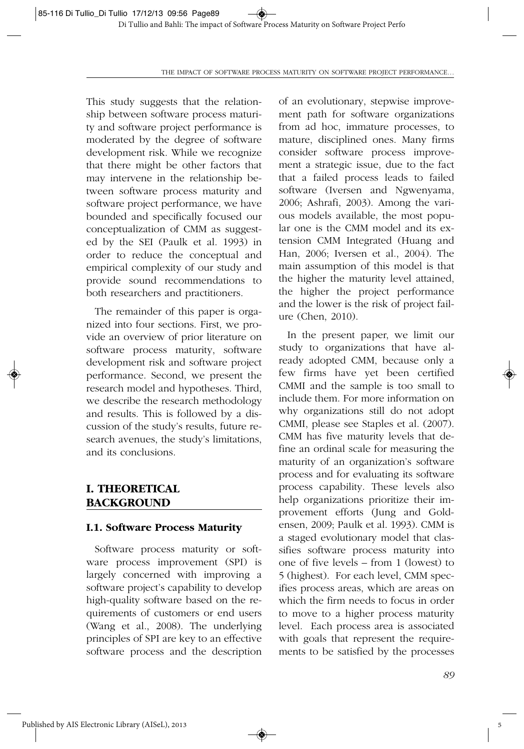This study suggests that the relationship between software process maturity and software project performance is moderated by the degree of software development risk. While we recognize that there might be other factors that may intervene in the relationship between software process maturity and software project performance, we have bounded and specifically focused our conceptualization of CMM as suggested by the SEI (Paulk et al. 1993) in order to reduce the conceptual and empirical complexity of our study and provide sound recommendations to both researchers and practitioners.

The remainder of this paper is organized into four sections. First, we provide an overview of prior literature on software process maturity, software development risk and software project performance. Second, we present the research model and hypotheses. Third, we describe the research methodology and results. This is followed by a discussion of the study's results, future research avenues, the study's limitations, and its conclusions.

## **I. THEORETICAL BACKGROUND**

#### **I.1. Software Process Maturity**

Software process maturity or software process improvement (SPI) is largely concerned with improving a software project's capability to develop high-quality software based on the requirements of customers or end users (Wang et al., 2008). The underlying principles of SPI are key to an effective software process and the description of an evolutionary, stepwise improvement path for software organizations from ad hoc, immature processes, to mature, disciplined ones. Many firms consider software process improvement a strategic issue, due to the fact that a failed process leads to failed software (Iversen and Ngwenyama, 2006; Ashrafi, 2003). Among the various models available, the most popular one is the CMM model and its extension CMM Integrated (Huang and Han, 2006; Iversen et al., 2004). The main assumption of this model is that the higher the maturity level attained, the higher the project performance and the lower is the risk of project failure (Chen, 2010).

In the present paper, we limit our study to organizations that have already adopted CMM, because only a few firms have yet been certified CMMI and the sample is too small to include them. For more information on why organizations still do not adopt CMMI, please see Staples et al. (2007). CMM has five maturity levels that define an ordinal scale for measuring the maturity of an organization's software process and for evaluating its software process capability. These levels also help organizations prioritize their improvement efforts (Jung and Goldensen, 2009; Paulk et al. 1993). CMM is a staged evolutionary model that classifies software process maturity into one of five levels – from 1 (lowest) to 5 (highest). For each level, CMM specifies process areas, which are areas on which the firm needs to focus in order to move to a higher process maturity level. Each process area is associated with goals that represent the requirements to be satisfied by the processes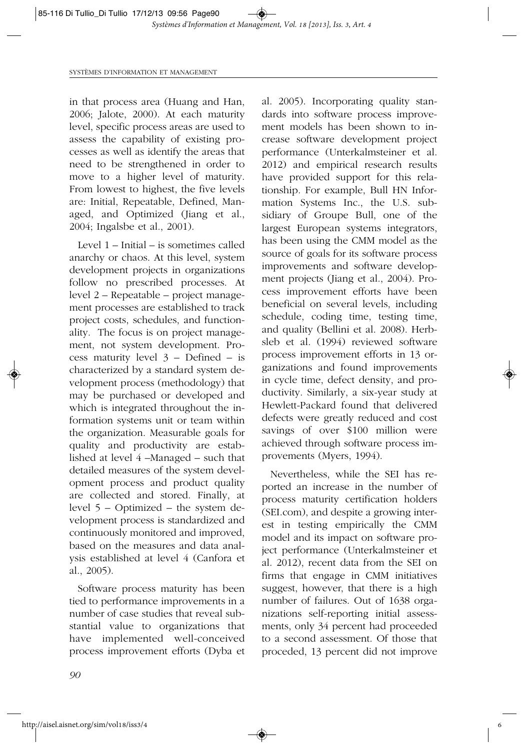in that process area (Huang and Han, 2006; Jalote, 2000). At each maturity level, specific process areas are used to assess the capability of existing processes as well as identify the areas that need to be strengthened in order to move to a higher level of maturity. From lowest to highest, the five levels are: Initial, Repeatable, Defined, Managed, and Optimized (Jiang et al., 2004; Ingalsbe et al., 2001).

Level 1 – Initial – is sometimes called anarchy or chaos. At this level, system development projects in organizations follow no prescribed processes. At level 2 – Repeatable – project management processes are established to track project costs, schedules, and functionality. The focus is on project management, not system development. Process maturity level 3 – Defined – is characterized by a standard system development process (methodology) that may be purchased or developed and which is integrated throughout the information systems unit or team within the organization. Measurable goals for quality and productivity are established at level 4 –Managed – such that detailed measures of the system development process and product quality are collected and stored. Finally, at level 5 – Optimized – the system development process is standardized and continuously monitored and improved, based on the measures and data analysis established at level 4 (Canfora et al., 2005).

Software process maturity has been tied to performance improvements in a number of case studies that reveal substantial value to organizations that have implemented well-conceived process improvement efforts (Dyba et

al. 2005). Incorporating quality standards into software process improvement models has been shown to increase software development project performance (Unterkalmsteiner et al. 2012) and empirical research results have provided support for this relationship. For example, Bull HN Information Systems Inc., the U.S. subsidiary of Groupe Bull, one of the largest European systems integrators, has been using the CMM model as the source of goals for its software process improvements and software development projects (Jiang et al., 2004). Process improvement efforts have been beneficial on several levels, including schedule, coding time, testing time, and quality (Bellini et al. 2008). Herbsleb et al. (1994) reviewed software process improvement efforts in 13 organizations and found improvements in cycle time, defect density, and productivity. Similarly, a six-year study at Hewlett-Packard found that delivered defects were greatly reduced and cost savings of over \$100 million were achieved through software process improvements (Myers, 1994).

Nevertheless, while the SEI has reported an increase in the number of process maturity certification holders (SEI.com), and despite a growing interest in testing empirically the CMM model and its impact on software project performance (Unterkalmsteiner et al. 2012), recent data from the SEI on firms that engage in CMM initiatives suggest, however, that there is a high number of failures. Out of 1638 organizations self-reporting initial assessments, only 34 percent had proceeded to a second assessment. Of those that proceded, 13 percent did not improve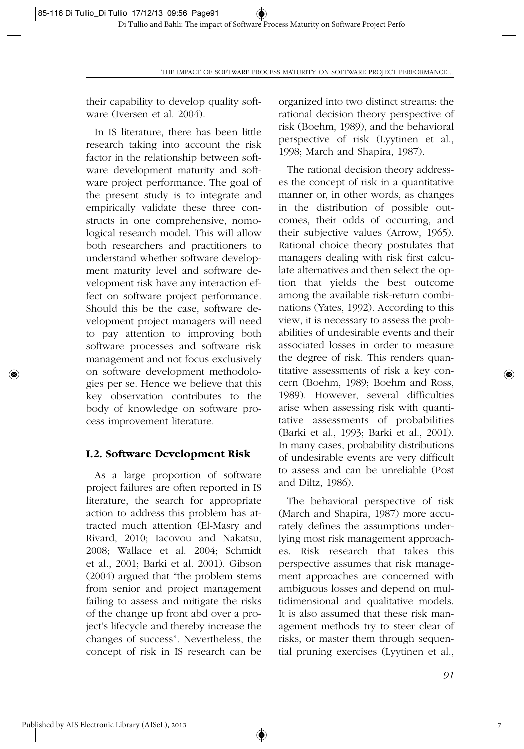their capability to develop quality software (Iversen et al. 2004).

In IS literature, there has been little research taking into account the risk factor in the relationship between software development maturity and software project performance. The goal of the present study is to integrate and empirically validate these three constructs in one comprehensive, nomological research model. This will allow both researchers and practitioners to understand whether software development maturity level and software development risk have any interaction effect on software project performance. Should this be the case, software development project managers will need to pay attention to improving both software processes and software risk management and not focus exclusively on software development methodologies per se. Hence we believe that this key observation contributes to the body of knowledge on software process improvement literature.

#### **I.2. Software Development Risk**

As a large proportion of software project failures are often reported in IS literature, the search for appropriate action to address this problem has attracted much attention (El-Masry and Rivard, 2010; Iacovou and Nakatsu, 2008; Wallace et al. 2004; Schmidt et al., 2001; Barki et al. 2001). Gibson (2004) argued that "the problem stems from senior and project management failing to assess and mitigate the risks of the change up front abd over a project's lifecycle and thereby increase the changes of success". Nevertheless, the concept of risk in IS research can be

organized into two distinct streams: the rational decision theory perspective of risk (Boehm, 1989), and the behavioral perspective of risk (Lyytinen et al., 1998; March and Shapira, 1987).

The rational decision theory addresses the concept of risk in a quantitative manner or, in other words, as changes in the distribution of possible outcomes, their odds of occurring, and their subjective values (Arrow, 1965). Rational choice theory postulates that managers dealing with risk first calculate alternatives and then select the option that yields the best outcome among the available risk-return combinations (Yates, 1992). According to this view, it is necessary to assess the probabilities of undesirable events and their associated losses in order to measure the degree of risk. This renders quantitative assessments of risk a key concern (Boehm, 1989; Boehm and Ross, 1989). However, several difficulties arise when assessing risk with quantitative assessments of probabilities (Barki et al., 1993; Barki et al., 2001). In many cases, probability distributions of undesirable events are very difficult to assess and can be unreliable (Post and Diltz, 1986).

The behavioral perspective of risk (March and Shapira, 1987) more accurately defines the assumptions underlying most risk management approaches. Risk research that takes this perspective assumes that risk management approaches are concerned with ambiguous losses and depend on multidimensional and qualitative models. It is also assumed that these risk management methods try to steer clear of risks, or master them through sequential pruning exercises (Lyytinen et al.,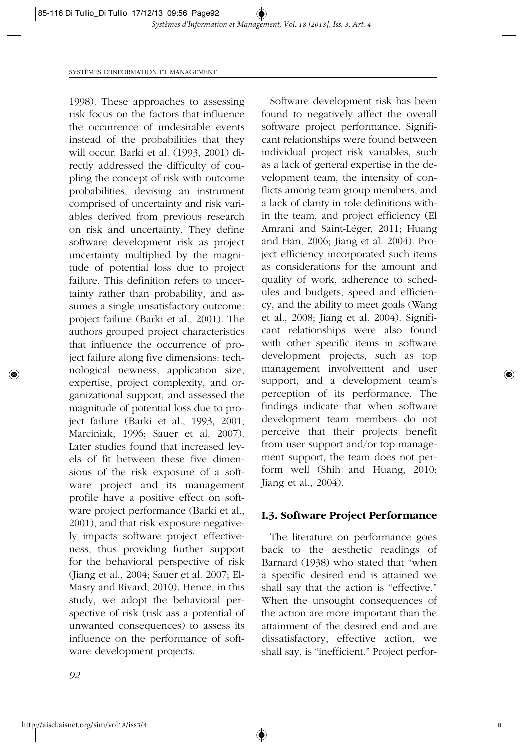1998). These approaches to assessing risk focus on the factors that influence the occurrence of undesirable events instead of the probabilities that they will occur. Barki et al. (1993, 2001) directly addressed the difficulty of coupling the concept of risk with outcome probabilities, devising an instrument comprised of uncertainty and risk variables derived from previous research on risk and uncertainty. They define software development risk as project uncertainty multiplied by the magnitude of potential loss due to project failure. This definition refers to uncertainty rather than probability, and assumes a single unsatisfactory outcome: project failure (Barki et al., 2001). The authors grouped project characteristics that influence the occurrence of project failure along five dimensions: technological newness, application size, expertise, project complexity, and organizational support, and assessed the magnitude of potential loss due to project failure (Barki et al., 1993, 2001; Marciniak, 1996; Sauer et al. 2007). Later studies found that increased levels of fit between these five dimensions of the risk exposure of a software project and its management profile have a positive effect on software project performance (Barki et al., 2001), and that risk exposure negatively impacts software project effectiveness, thus providing further support for the behavioral perspective of risk (Jiang et al., 2004; Sauer et al. 2007; El-Masry and Rivard, 2010). Hence, in this study, we adopt the behavioral perspective of risk (risk ass a potential of unwanted consequences) to assess its influence on the performance of software development projects.

Software development risk has been found to negatively affect the overall software project performance. Significant relationships were found between individual project risk variables, such as a lack of general expertise in the development team, the intensity of conflicts among team group members, and a lack of clarity in role definitions within the team, and project efficiency (El Amrani and Saint-Léger, 2011; Huang and Han, 2006; Jiang et al. 2004). Project efficiency incorporated such items as considerations for the amount and quality of work, adherence to schedules and budgets, speed and efficiency, and the ability to meet goals (Wang et al., 2008; Jiang et al. 2004). Significant relationships were also found with other specific items in software development projects, such as top management involvement and user support, and a development team's perception of its performance. The findings indicate that when software development team members do not perceive that their projects benefit from user support and/or top management support, the team does not perform well (Shih and Huang, 2010; Jiang et al., 2004).

#### **I.3. Software Project Performance**

The literature on performance goes back to the aesthetic readings of Barnard (1938) who stated that "when a specific desired end is attained we shall say that the action is "effective." When the unsought consequences of the action are more important than the attainment of the desired end and are dissatisfactory, effective action, we shall say, is "inefficient." Project perfor-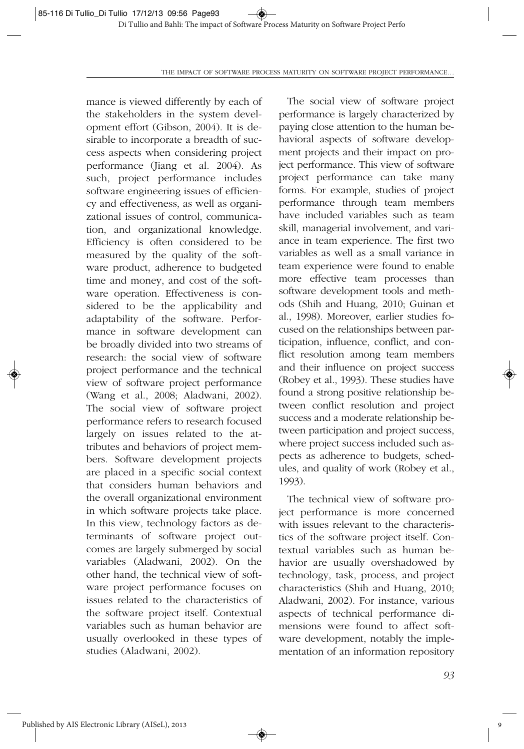mance is viewed differently by each of the stakeholders in the system development effort (Gibson, 2004). It is desirable to incorporate a breadth of success aspects when considering project performance (Jiang et al. 2004). As such, project performance includes software engineering issues of efficiency and effectiveness, as well as organizational issues of control, communication, and organizational knowledge. Efficiency is often considered to be measured by the quality of the software product, adherence to budgeted time and money, and cost of the software operation. Effectiveness is considered to be the applicability and adaptability of the software. Performance in software development can be broadly divided into two streams of research: the social view of software project performance and the technical view of software project performance (Wang et al., 2008; Aladwani, 2002). The social view of software project performance refers to research focused largely on issues related to the attributes and behaviors of project members. Software development projects are placed in a specific social context that considers human behaviors and the overall organizational environment in which software projects take place. In this view, technology factors as determinants of software project outcomes are largely submerged by social variables (Aladwani, 2002). On the other hand, the technical view of software project performance focuses on issues related to the characteristics of the software project itself. Contextual variables such as human behavior are usually overlooked in these types of studies (Aladwani, 2002).

The social view of software project performance is largely characterized by paying close attention to the human behavioral aspects of software development projects and their impact on project performance. This view of software project performance can take many forms. For example, studies of project performance through team members have included variables such as team skill, managerial involvement, and variance in team experience. The first two variables as well as a small variance in team experience were found to enable more effective team processes than software development tools and methods (Shih and Huang, 2010; Guinan et al., 1998). Moreover, earlier studies focused on the relationships between participation, influence, conflict, and conflict resolution among team members and their influence on project success (Robey et al., 1993). These studies have found a strong positive relationship between conflict resolution and project success and a moderate relationship between participation and project success, where project success included such aspects as adherence to budgets, schedules, and quality of work (Robey et al., 1993).

The technical view of software project performance is more concerned with issues relevant to the characteristics of the software project itself. Contextual variables such as human behavior are usually overshadowed by technology, task, process, and project characteristics (Shih and Huang, 2010; Aladwani, 2002). For instance, various aspects of technical performance dimensions were found to affect software development, notably the implementation of an information repository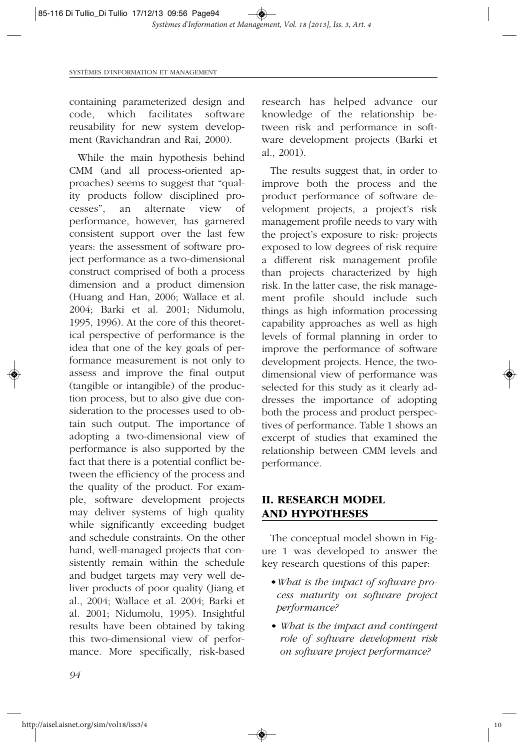containing parameterized design and code, which facilitates software reusability for new system development (Ravichandran and Rai, 2000).

While the main hypothesis behind CMM (and all process-oriented approaches) seems to suggest that "quality products follow disciplined processes", an alternate view of performance, however, has garnered consistent support over the last few years: the assessment of software project performance as a two-dimensional construct comprised of both a process dimension and a product dimension (Huang and Han, 2006; Wallace et al. 2004; Barki et al. 2001; Nidumolu, 1995, 1996). At the core of this theoretical perspective of performance is the idea that one of the key goals of performance measurement is not only to assess and improve the final output (tangible or intangible) of the production process, but to also give due consideration to the processes used to obtain such output. The importance of adopting a two-dimensional view of performance is also supported by the fact that there is a potential conflict between the efficiency of the process and the quality of the product. For example, software development projects may deliver systems of high quality while significantly exceeding budget and schedule constraints. On the other hand, well-managed projects that consistently remain within the schedule and budget targets may very well deliver products of poor quality (Jiang et al., 2004; Wallace et al. 2004; Barki et al. 2001; Nidumolu, 1995). Insightful results have been obtained by taking this two-dimensional view of performance. More specifically, risk-based research has helped advance our knowledge of the relationship between risk and performance in software development projects (Barki et al., 2001).

The results suggest that, in order to improve both the process and the product performance of software development projects, a project's risk management profile needs to vary with the project's exposure to risk: projects exposed to low degrees of risk require a different risk management profile than projects characterized by high risk. In the latter case, the risk management profile should include such things as high information processing capability approaches as well as high levels of formal planning in order to improve the performance of software development projects. Hence, the twodimensional view of performance was selected for this study as it clearly addresses the importance of adopting both the process and product perspectives of performance. Table 1 shows an excerpt of studies that examined the relationship between CMM levels and performance.

## **II. RESEARCH MODEL AND HYPOTHESES**

The conceptual model shown in Figure 1 was developed to answer the key research questions of this paper:

- •*What is the impact of software process maturity on software project performance?*
- *What is the impact and contingent role of software development risk on software project performance?*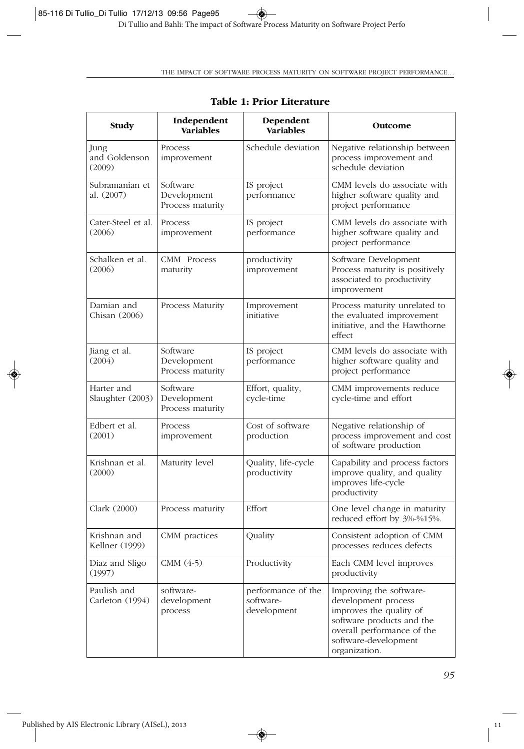| Study                           | Independent<br><b>Variables</b>             | Dependent<br><b>Variables</b>                  | Outcome                                                                                                                                                                       |  |
|---------------------------------|---------------------------------------------|------------------------------------------------|-------------------------------------------------------------------------------------------------------------------------------------------------------------------------------|--|
| Jung<br>and Goldenson<br>(2009) | Process<br>improvement                      | Schedule deviation                             | Negative relationship between<br>process improvement and<br>schedule deviation                                                                                                |  |
| Subramanian et<br>al. (2007)    | Software<br>Development<br>Process maturity | IS project<br>performance                      | CMM levels do associate with<br>higher software quality and<br>project performance                                                                                            |  |
| Cater-Steel et al.<br>(2006)    | Process<br>improvement                      | IS project<br>performance                      | CMM levels do associate with<br>higher software quality and<br>project performance                                                                                            |  |
| Schalken et al.<br>(2006)       | CMM Process<br>maturity                     | productivity<br>improvement                    | Software Development<br>Process maturity is positively<br>associated to productivity<br>improvement                                                                           |  |
| Damian and<br>Chisan (2006)     | Process Maturity                            | Improvement<br>initiative                      | Process maturity unrelated to<br>the evaluated improvement<br>initiative, and the Hawthorne<br>effect                                                                         |  |
| Jiang et al.<br>(2004)          | Software<br>Development<br>Process maturity | IS project<br>performance                      | CMM levels do associate with<br>higher software quality and<br>project performance                                                                                            |  |
| Harter and<br>Slaughter (2003)  | Software<br>Development<br>Process maturity | Effort, quality,<br>cycle-time                 | CMM improvements reduce<br>cycle-time and effort                                                                                                                              |  |
| Edbert et al.<br>(2001)         | Process<br>improvement                      | Cost of software<br>production                 | Negative relationship of<br>process improvement and cost<br>of software production                                                                                            |  |
| Krishnan et al.<br>(2000)       | Maturity level                              | Quality, life-cycle<br>productivity            | Capability and process factors<br>improve quality, and quality<br>improves life-cycle<br>productivity                                                                         |  |
| Clark (2000)                    | Process maturity                            | Effort                                         | One level change in maturity<br>reduced effort by 3%-%15%.                                                                                                                    |  |
| Krishnan and<br>Kellner (1999)  | CMM practices                               | Quality                                        | Consistent adoption of CMM<br>processes reduces defects                                                                                                                       |  |
| Diaz and Sligo<br>(1997)        | CMM $(4-5)$                                 | Productivity                                   | Each CMM level improves<br>productivity                                                                                                                                       |  |
| Paulish and<br>Carleton (1994)  | software-<br>development<br>process         | performance of the<br>software-<br>development | Improving the software-<br>development process<br>improves the quality of<br>software products and the<br>overall performance of the<br>software-development<br>organization. |  |

 $\overline{\bullet}$ 

#### **Table 1: Prior Literature**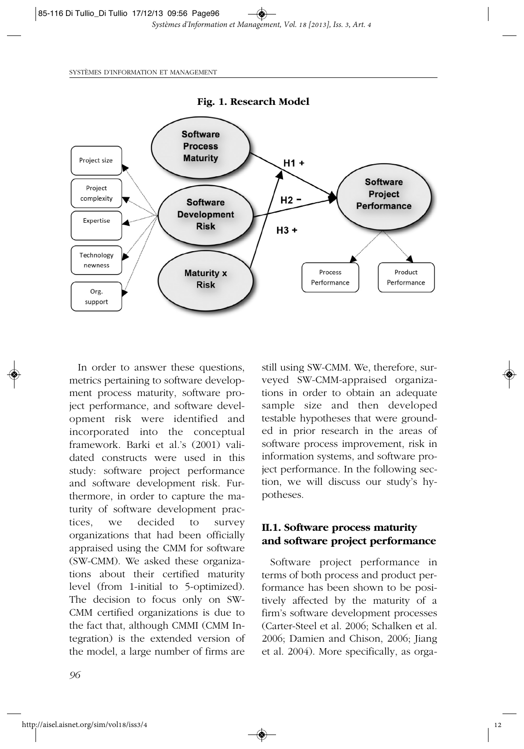

In order to answer these questions, metrics pertaining to software development process maturity, software project performance, and software development risk were identified and incorporated into the conceptual framework. Barki et al.'s (2001) validated constructs were used in this study: software project performance and software development risk. Furthermore, in order to capture the maturity of software development practices, we decided to survey organizations that had been officially appraised using the CMM for software (SW-CMM). We asked these organizations about their certified maturity level (from 1-initial to 5-optimized). The decision to focus only on SW-CMM certified organizations is due to the fact that, although CMMI (CMM Integration) is the extended version of the model, a large number of firms are

still using SW-CMM. We, therefore, surveyed SW-CMM-appraised organizations in order to obtain an adequate sample size and then developed testable hypotheses that were grounded in prior research in the areas of software process improvement, risk in information systems, and software project performance. In the following section, we will discuss our study's hypotheses.

## **II.1. Software process maturity and software project performance**

Software project performance in terms of both process and product performance has been shown to be positively affected by the maturity of a firm's software development processes (Carter-Steel et al. 2006; Schalken et al. 2006; Damien and Chison, 2006; Jiang et al. 2004). More specifically, as orga-

*96*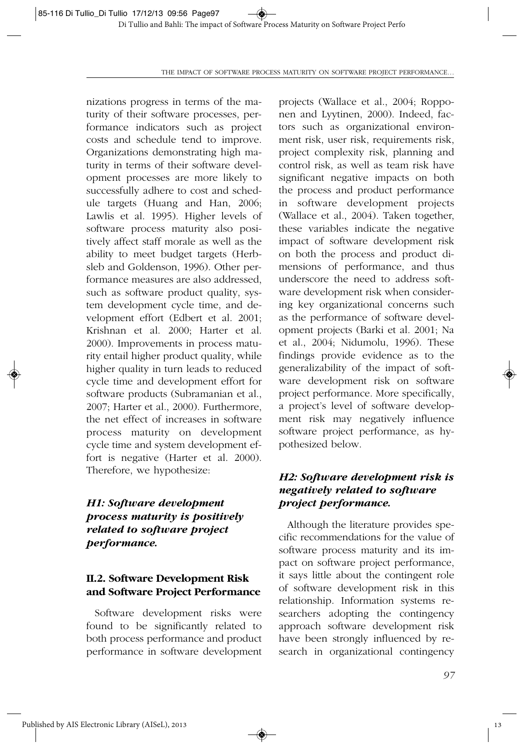nizations progress in terms of the maturity of their software processes, performance indicators such as project costs and schedule tend to improve. Organizations demonstrating high maturity in terms of their software development processes are more likely to successfully adhere to cost and schedule targets (Huang and Han, 2006; Lawlis et al. 1995). Higher levels of software process maturity also positively affect staff morale as well as the ability to meet budget targets (Herbsleb and Goldenson, 1996). Other performance measures are also addressed, such as software product quality, system development cycle time, and development effort (Edbert et al. 2001; Krishnan et al. 2000; Harter et al. 2000). Improvements in process maturity entail higher product quality, while higher quality in turn leads to reduced cycle time and development effort for software products (Subramanian et al., 2007; Harter et al., 2000). Furthermore, the net effect of increases in software process maturity on development cycle time and system development effort is negative (Harter et al. 2000). Therefore, we hypothesize:

## *H1: Software development process maturity is positively related to software project performance.*

## **II.2. Software Development Risk and Software Project Performance**

Software development risks were found to be significantly related to both process performance and product performance in software development projects (Wallace et al., 2004; Ropponen and Lyytinen, 2000). Indeed, factors such as organizational environment risk, user risk, requirements risk, project complexity risk, planning and control risk, as well as team risk have significant negative impacts on both the process and product performance in software development projects (Wallace et al., 2004). Taken together, these variables indicate the negative impact of software development risk on both the process and product dimensions of performance, and thus underscore the need to address software development risk when considering key organizational concerns such as the performance of software development projects (Barki et al. 2001; Na et al., 2004; Nidumolu, 1996). These findings provide evidence as to the generalizability of the impact of software development risk on software project performance. More specifically, a project's level of software development risk may negatively influence software project performance, as hypothesized below.

## *H2: Software development risk is negatively related to software project performance.*

Although the literature provides specific recommendations for the value of software process maturity and its impact on software project performance, it says little about the contingent role of software development risk in this relationship. Information systems researchers adopting the contingency approach software development risk have been strongly influenced by research in organizational contingency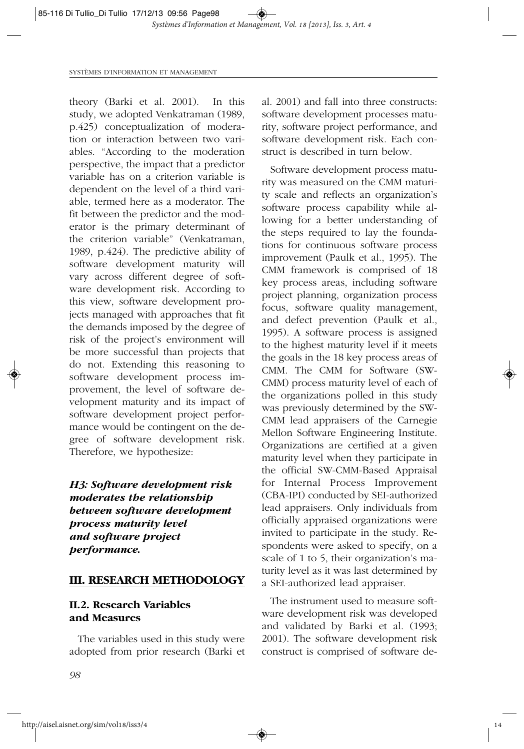theory (Barki et al. 2001). In this study, we adopted Venkatraman (1989, p.425) conceptualization of moderation or interaction between two variables. "According to the moderation perspective, the impact that a predictor variable has on a criterion variable is dependent on the level of a third variable, termed here as a moderator. The fit between the predictor and the moderator is the primary determinant of the criterion variable" (Venkatraman, 1989, p.424). The predictive ability of software development maturity will vary across different degree of software development risk. According to this view, software development projects managed with approaches that fit the demands imposed by the degree of risk of the project's environment will be more successful than projects that do not. Extending this reasoning to software development process improvement, the level of software development maturity and its impact of software development project performance would be contingent on the degree of software development risk. Therefore, we hypothesize:

## *H3: Software development risk moderates the relationship between software development process maturity level and software project performance.*

#### **III. RESEARCH METHODOLOGY**

## **II.2. Research Variables and Measures**

The variables used in this study were adopted from prior research (Barki et al. 2001) and fall into three constructs: software development processes maturity, software project performance, and software development risk. Each construct is described in turn below.

Software development process maturity was measured on the CMM maturity scale and reflects an organization's software process capability while allowing for a better understanding of the steps required to lay the foundations for continuous software process improvement (Paulk et al., 1995). The CMM framework is comprised of 18 key process areas, including software project planning, organization process focus, software quality management, and defect prevention (Paulk et al., 1995). A software process is assigned to the highest maturity level if it meets the goals in the 18 key process areas of CMM. The CMM for Software (SW-CMM) process maturity level of each of the organizations polled in this study was previously determined by the SW-CMM lead appraisers of the Carnegie Mellon Software Engineering Institute. Organizations are certified at a given maturity level when they participate in the official SW-CMM-Based Appraisal for Internal Process Improvement (CBA-IPI) conducted by SEI-authorized lead appraisers. Only individuals from officially appraised organizations were invited to participate in the study. Respondents were asked to specify, on a scale of 1 to 5, their organization's maturity level as it was last determined by a SEI-authorized lead appraiser.

The instrument used to measure software development risk was developed and validated by Barki et al. (1993; 2001). The software development risk construct is comprised of software de-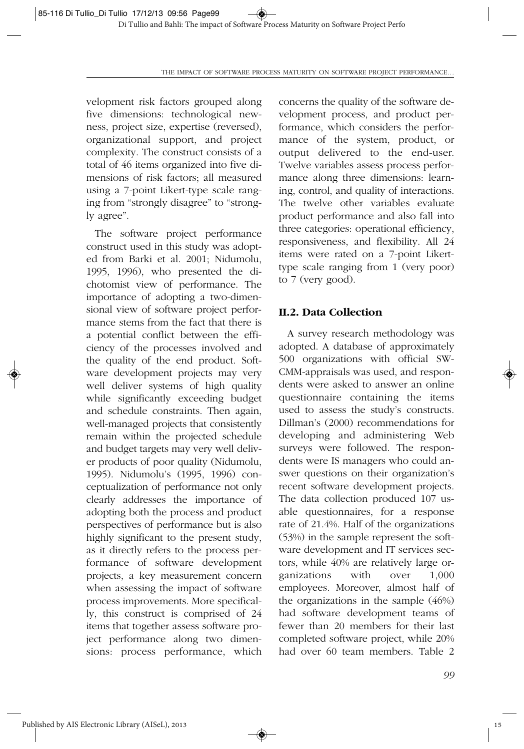velopment risk factors grouped along five dimensions: technological newness, project size, expertise (reversed), organizational support, and project complexity. The construct consists of a total of 46 items organized into five dimensions of risk factors; all measured using a 7-point Likert-type scale ranging from "strongly disagree" to "strongly agree".

The software project performance construct used in this study was adopted from Barki et al. 2001; Nidumolu, 1995, 1996), who presented the dichotomist view of performance. The importance of adopting a two-dimensional view of software project performance stems from the fact that there is a potential conflict between the efficiency of the processes involved and the quality of the end product. Software development projects may very well deliver systems of high quality while significantly exceeding budget and schedule constraints. Then again, well-managed projects that consistently remain within the projected schedule and budget targets may very well deliver products of poor quality (Nidumolu, 1995). Nidumolu's (1995, 1996) conceptualization of performance not only clearly addresses the importance of adopting both the process and product perspectives of performance but is also highly significant to the present study, as it directly refers to the process performance of software development projects, a key measurement concern when assessing the impact of software process improvements. More specifically, this construct is comprised of 24 items that together assess software project performance along two dimensions: process performance, which concerns the quality of the software development process, and product performance, which considers the performance of the system, product, or output delivered to the end-user. Twelve variables assess process performance along three dimensions: learning, control, and quality of interactions. The twelve other variables evaluate product performance and also fall into three categories: operational efficiency, responsiveness, and flexibility. All 24 items were rated on a 7-point Likerttype scale ranging from 1 (very poor) to 7 (very good).

#### **II.2. Data Collection**

A survey research methodology was adopted. A database of approximately 500 organizations with official SW-CMM-appraisals was used, and respondents were asked to answer an online questionnaire containing the items used to assess the study's constructs. Dillman's (2000) recommendations for developing and administering Web surveys were followed. The respondents were IS managers who could answer questions on their organization's recent software development projects. The data collection produced 107 usable questionnaires, for a response rate of 21.4%. Half of the organizations (53%) in the sample represent the software development and IT services sectors, while 40% are relatively large organizations with over 1,000 employees. Moreover, almost half of the organizations in the sample (46%) had software development teams of fewer than 20 members for their last completed software project, while 20% had over 60 team members. Table 2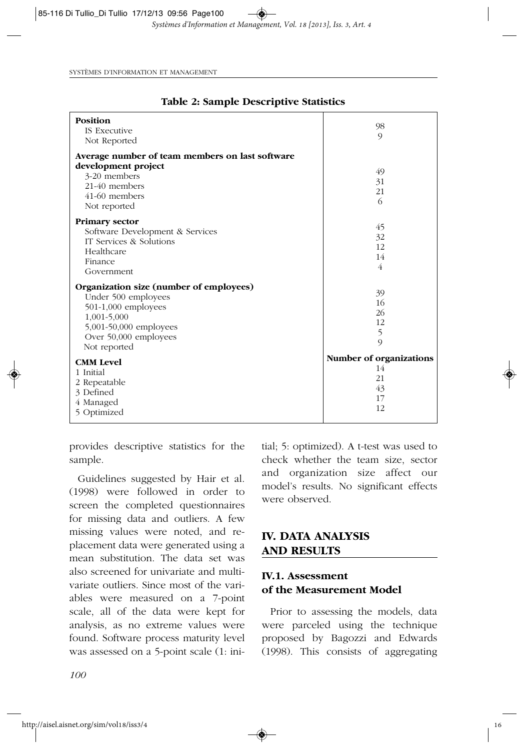| Position                                        | 98                      |
|-------------------------------------------------|-------------------------|
| <b>IS Executive</b>                             | $\circ$                 |
| Not Reported                                    |                         |
| Average number of team members on last software |                         |
| development project                             | 49                      |
| 3-20 members                                    | 31                      |
| 21-40 members                                   | 21                      |
| 41-60 members                                   | 6                       |
| Not reported                                    |                         |
| <b>Primary sector</b>                           |                         |
| Software Development & Services                 | 45                      |
| IT Services & Solutions                         | 32                      |
| Healthcare                                      | 12                      |
| Finance                                         | 14                      |
| Government                                      | 4                       |
| Organization size (number of employees)         |                         |
| Under 500 employees                             | 39                      |
| $501-1,000$ employees                           | 16                      |
| 1,001-5,000                                     | 26                      |
| 5,001-50,000 employees                          | 12                      |
| Over 50,000 employees                           | 5                       |
| Not reported                                    | $\mathcal{Q}$           |
|                                                 | Number of organizations |
| <b>CMM Level</b>                                | 14                      |
| 1 Initial                                       | 21                      |
| 2 Repeatable                                    | 43                      |
| 3 Defined                                       | 17                      |
| 4 Managed                                       | 12                      |
| 5 Optimized                                     |                         |

#### **Table 2: Sample Descriptive Statistics**

provides descriptive statistics for the sample.

Guidelines suggested by Hair et al. (1998) were followed in order to screen the completed questionnaires for missing data and outliers. A few missing values were noted, and replacement data were generated using a mean substitution. The data set was also screened for univariate and multivariate outliers. Since most of the variables were measured on a 7-point scale, all of the data were kept for analysis, as no extreme values were found. Software process maturity level was assessed on a 5-point scale (1: initial; 5: optimized). A t-test was used to check whether the team size, sector and organization size affect our model's results. No significant effects were observed.

## **IV. DATA ANALYSIS AND RESULTS**

## **IV.1. Assessment of the Measurement Model**

Prior to assessing the models, data were parceled using the technique proposed by Bagozzi and Edwards (1998). This consists of aggregating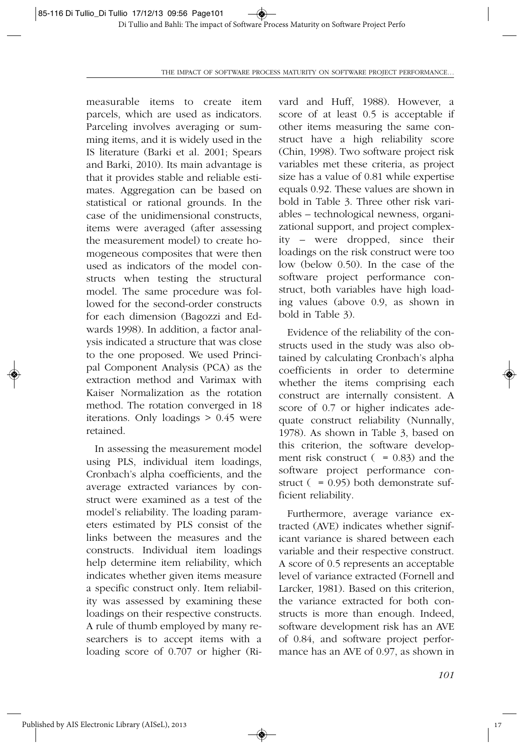measurable items to create item parcels, which are used as indicators. Parceling involves averaging or summing items, and it is widely used in the IS literature (Barki et al. 2001; Spears and Barki, 2010). Its main advantage is that it provides stable and reliable estimates. Aggregation can be based on statistical or rational grounds. In the case of the unidimensional constructs, items were averaged (after assessing the measurement model) to create homogeneous composites that were then used as indicators of the model constructs when testing the structural model. The same procedure was followed for the second-order constructs for each dimension (Bagozzi and Edwards 1998). In addition, a factor analysis indicated a structure that was close to the one proposed. We used Principal Component Analysis (PCA) as the extraction method and Varimax with Kaiser Normalization as the rotation method. The rotation converged in 18 iterations. Only loadings > 0.45 were retained.

In assessing the measurement model using PLS, individual item loadings, Cronbach's alpha coefficients, and the average extracted variances by construct were examined as a test of the model's reliability. The loading parameters estimated by PLS consist of the links between the measures and the constructs. Individual item loadings help determine item reliability, which indicates whether given items measure a specific construct only. Item reliability was assessed by examining these loadings on their respective constructs. A rule of thumb employed by many researchers is to accept items with a loading score of 0.707 or higher (Rivard and Huff, 1988). However, a score of at least 0.5 is acceptable if other items measuring the same construct have a high reliability score (Chin, 1998). Two software project risk variables met these criteria, as project size has a value of 0.81 while expertise equals 0.92. These values are shown in bold in Table 3. Three other risk variables – technological newness, organizational support, and project complexity – were dropped, since their loadings on the risk construct were too low (below 0.50). In the case of the software project performance construct, both variables have high loading values (above 0.9, as shown in bold in Table 3).

Evidence of the reliability of the constructs used in the study was also obtained by calculating Cronbach's alpha coefficients in order to determine whether the items comprising each construct are internally consistent. A score of 0.7 or higher indicates adequate construct reliability (Nunnally, 1978). As shown in Table 3, based on this criterion, the software development risk construct  $( = 0.83)$  and the software project performance construct ( = 0.95) both demonstrate sufficient reliability.

Furthermore, average variance extracted (AVE) indicates whether significant variance is shared between each variable and their respective construct. A score of 0.5 represents an acceptable level of variance extracted (Fornell and Larcker, 1981). Based on this criterion, the variance extracted for both constructs is more than enough. Indeed, software development risk has an AVE of 0.84, and software project performance has an AVE of 0.97, as shown in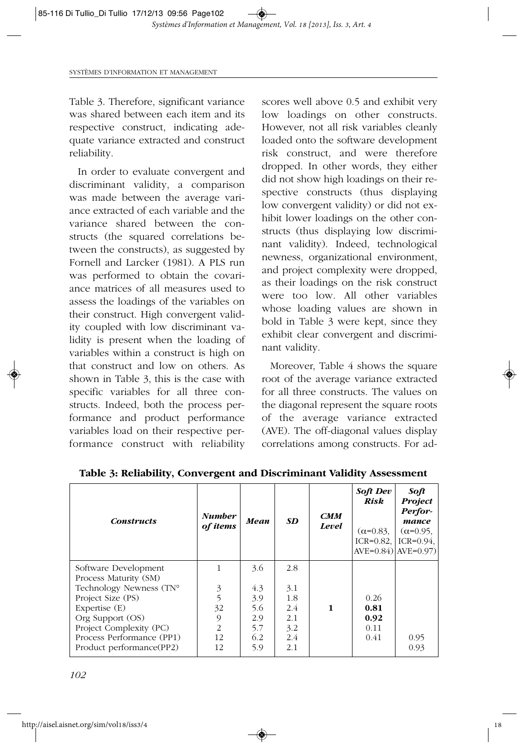Table 3. Therefore, significant variance was shared between each item and its respective construct, indicating adequate variance extracted and construct reliability.

In order to evaluate convergent and discriminant validity, a comparison was made between the average variance extracted of each variable and the variance shared between the constructs (the squared correlations between the constructs), as suggested by Fornell and Larcker (1981). A PLS run was performed to obtain the covariance matrices of all measures used to assess the loadings of the variables on their construct. High convergent validity coupled with low discriminant validity is present when the loading of variables within a construct is high on that construct and low on others. As shown in Table 3, this is the case with specific variables for all three constructs. Indeed, both the process performance and product performance variables load on their respective performance construct with reliability

scores well above 0.5 and exhibit very low loadings on other constructs. However, not all risk variables cleanly loaded onto the software development risk construct, and were therefore dropped. In other words, they either did not show high loadings on their respective constructs (thus displaying low convergent validity) or did not exhibit lower loadings on the other constructs (thus displaying low discriminant validity). Indeed, technological newness, organizational environment, and project complexity were dropped, as their loadings on the risk construct were too low. All other variables whose loading values are shown in bold in Table 3 were kept, since they exhibit clear convergent and discriminant validity.

Moreover, Table 4 shows the square root of the average variance extracted for all three constructs. The values on the diagonal represent the square roots of the average variance extracted (AVE). The off-diagonal values display correlations among constructs. For ad-

| <b>Constructs</b>                             | <b>Number</b><br>of items | Mean | <b>SD</b> | <b>CMM</b><br>Level | <b>Soft Dev</b><br><b>Risk</b><br>$(\alpha=0.83)$<br>ICR= $0.82$ , ICR= $0.94$ .<br>$AVE=0.84$ ) $AVE=0.97$ | Soft<br><b>Project</b><br>Perfor-<br>mance<br>$(\alpha=0.95)$ |
|-----------------------------------------------|---------------------------|------|-----------|---------------------|-------------------------------------------------------------------------------------------------------------|---------------------------------------------------------------|
| Software Development<br>Process Maturity (SM) |                           | 3.6  | 2.8       |                     |                                                                                                             |                                                               |
| Technology Newness (TN°                       | 3                         | 4.3  | 3.1       |                     |                                                                                                             |                                                               |
| Project Size (PS)                             | 5                         | 3.9  | 1.8       |                     | 0.26                                                                                                        |                                                               |
| Expertise $(E)$                               | 32                        | 5.6  | 2.4       | $\mathbf{1}$        | 0.81                                                                                                        |                                                               |
| Org Support (OS)                              | 9                         | 2.9  | 2.1       |                     | 0.92                                                                                                        |                                                               |
| Project Complexity (PC)                       | $\overline{c}$            | 5.7  | 3.2       |                     | 0.11                                                                                                        |                                                               |
| Process Performance (PP1)                     | 12                        | 6.2  | 2.4       |                     | 0.41                                                                                                        | 0.95                                                          |
| Product performance(PP2)                      | 12                        | 5.9  | 2.1       |                     |                                                                                                             | 0.93                                                          |

**Table 3: Reliability, Convergent and Discriminant Validity Assessment**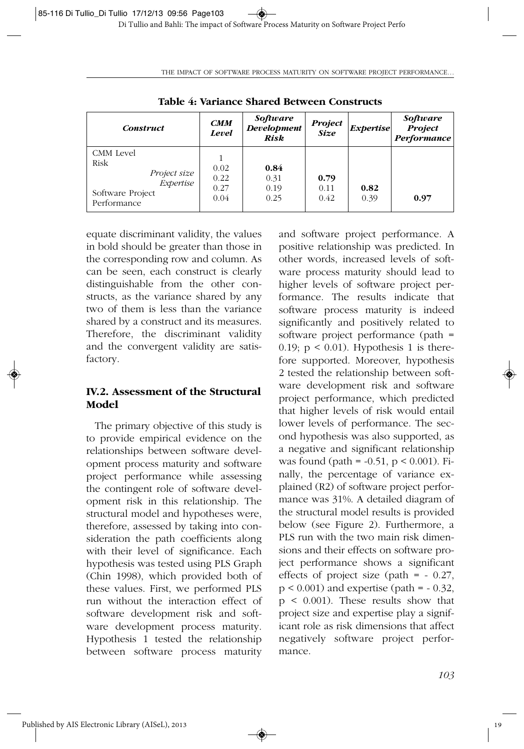**Table 4: Variance Shared Between Constructs** *Construct CMM Level Software Development Risk Project Size Expertise Software Project Performance* CMM Level Risk *Project size Expertise* Software Project Performance 1 0.02 0.22 0.27 0.04 **0.84** 0.31 0.19 0.25 **0.79** 0.11 0.42 **0.82** 0.39 **0.97**

◈

THE IMPACT OF SOFTWARE PROCESS MATURITY ON SOFTWARE PROJECT PERFORMANCE…

equate discriminant validity, the values in bold should be greater than those in the corresponding row and column. As can be seen, each construct is clearly distinguishable from the other constructs, as the variance shared by any two of them is less than the variance shared by a construct and its measures. Therefore, the discriminant validity and the convergent validity are satisfactory.

## **IV.2. Assessment of the Structural Model**

The primary objective of this study is to provide empirical evidence on the relationships between software development process maturity and software project performance while assessing the contingent role of software development risk in this relationship. The structural model and hypotheses were, therefore, assessed by taking into consideration the path coefficients along with their level of significance. Each hypothesis was tested using PLS Graph (Chin 1998), which provided both of these values. First, we performed PLS run without the interaction effect of software development risk and software development process maturity. Hypothesis 1 tested the relationship between software process maturity and software project performance. A positive relationship was predicted. In other words, increased levels of software process maturity should lead to higher levels of software project performance. The results indicate that software process maturity is indeed significantly and positively related to software project performance (path = 0.19;  $p \le 0.01$ ). Hypothesis 1 is therefore supported. Moreover, hypothesis 2 tested the relationship between software development risk and software project performance, which predicted that higher levels of risk would entail lower levels of performance. The second hypothesis was also supported, as a negative and significant relationship was found (path =  $-0.51$ , p < 0.001). Finally, the percentage of variance explained (R2) of software project performance was 31%. A detailed diagram of the structural model results is provided below (see Figure 2). Furthermore, a PLS run with the two main risk dimensions and their effects on software project performance shows a significant effects of project size (path =  $-0.27$ ,  $p < 0.001$ ) and expertise (path =  $-0.32$ ,  $p \leq 0.001$ ). These results show that project size and expertise play a significant role as risk dimensions that affect negatively software project performance.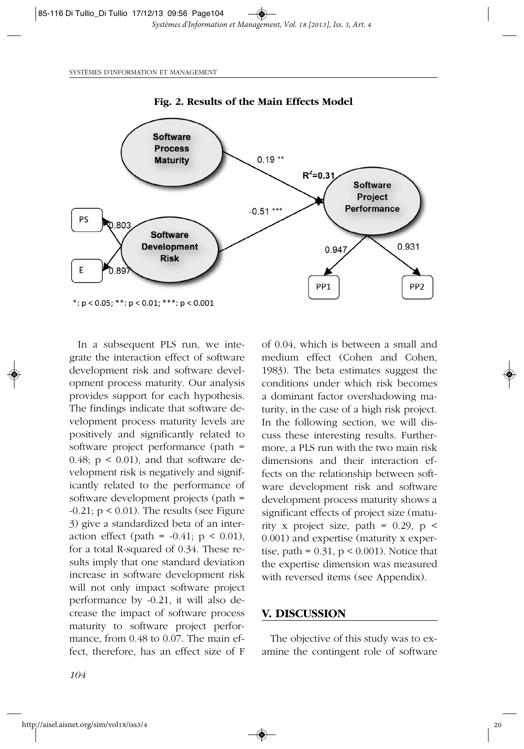

**Fig. 2. Results of the Main Effects Model**

In a subsequent PLS run, we integrate the interaction effect of software development risk and software development process maturity. Our analysis provides support for each hypothesis. The findings indicate that software development process maturity levels are positively and significantly related to software project performance (path = 0.48;  $p < 0.01$ ), and that software development risk is negatively and significantly related to the performance of software development projects (path =  $-0.21$ ;  $p < 0.01$ ). The results (see Figure 3) give a standardized beta of an interaction effect (path =  $-0.41$ ; p < 0.01), for a total R-squared of 0.34. These results imply that one standard deviation increase in software development risk will not only impact software project performance by -0.21, it will also decrease the impact of software process maturity to software project performance, from 0.48 to 0.07. The main effect, therefore, has an effect size of F of 0.04, which is between a small and medium effect (Cohen and Cohen, 1983). The beta estimates suggest the conditions under which risk becomes a dominant factor overshadowing maturity, in the case of a high risk project. In the following section, we will discuss these interesting results. Furthermore, a PLS run with the two main risk dimensions and their interaction effects on the relationship between software development risk and software development process maturity shows a significant effects of project size (maturity x project size, path =  $0.29$ , p < 0.001) and expertise (maturity x expertise, path =  $0.31$ , p <  $0.001$ ). Notice that the expertise dimension was measured with reversed items (see Appendix).

#### **V. DISCUSSION**

The objective of this study was to examine the contingent role of software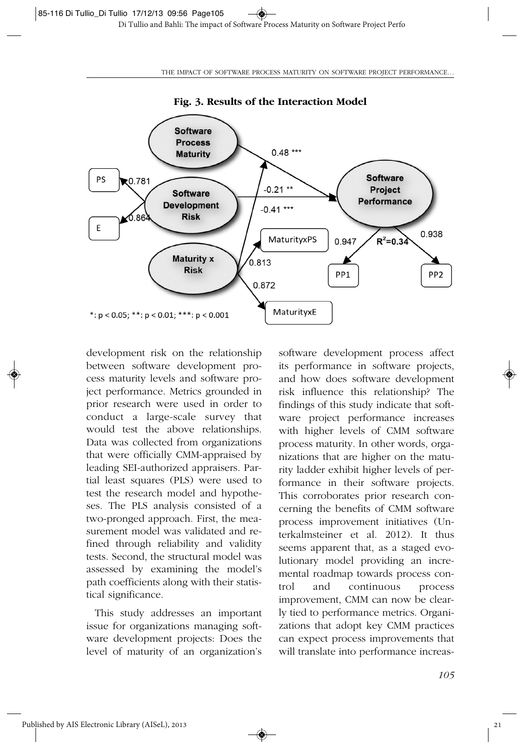

**Fig. 3. Results of the Interaction Model**

development risk on the relationship between software development process maturity levels and software project performance. Metrics grounded in prior research were used in order to conduct a large-scale survey that would test the above relationships. Data was collected from organizations that were officially CMM-appraised by leading SEI-authorized appraisers. Partial least squares (PLS) were used to test the research model and hypotheses. The PLS analysis consisted of a two-pronged approach. First, the measurement model was validated and refined through reliability and validity tests. Second, the structural model was assessed by examining the model's path coefficients along with their statistical significance.

This study addresses an important issue for organizations managing software development projects: Does the level of maturity of an organization's

◈

software development process affect its performance in software projects, and how does software development risk influence this relationship? The findings of this study indicate that software project performance increases with higher levels of CMM software process maturity. In other words, organizations that are higher on the maturity ladder exhibit higher levels of performance in their software projects. This corroborates prior research concerning the benefits of CMM software process improvement initiatives (Unterkalmsteiner et al. 2012). It thus seems apparent that, as a staged evolutionary model providing an incremental roadmap towards process control and continuous process improvement, CMM can now be clearly tied to performance metrics. Organizations that adopt key CMM practices can expect process improvements that will translate into performance increas-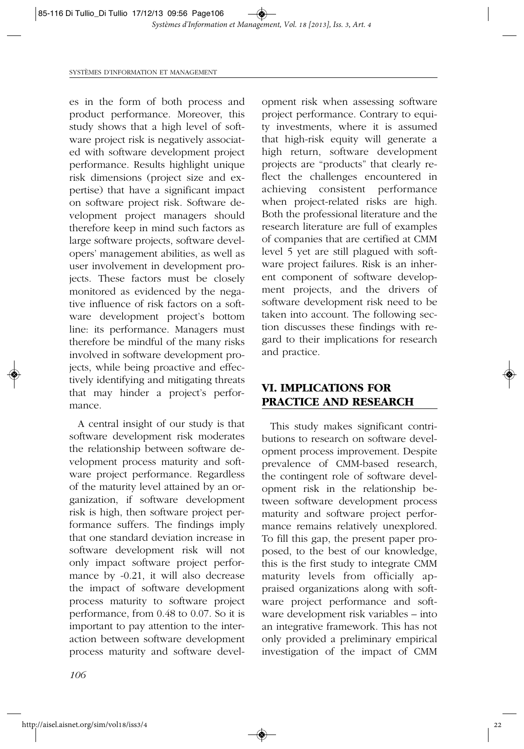es in the form of both process and product performance. Moreover, this study shows that a high level of software project risk is negatively associated with software development project performance. Results highlight unique risk dimensions (project size and expertise) that have a significant impact on software project risk. Software development project managers should therefore keep in mind such factors as large software projects, software developers' management abilities, as well as user involvement in development projects. These factors must be closely monitored as evidenced by the negative influence of risk factors on a software development project's bottom line: its performance. Managers must therefore be mindful of the many risks involved in software development projects, while being proactive and effectively identifying and mitigating threats that may hinder a project's performance.

A central insight of our study is that software development risk moderates the relationship between software development process maturity and software project performance. Regardless of the maturity level attained by an organization, if software development risk is high, then software project performance suffers. The findings imply that one standard deviation increase in software development risk will not only impact software project performance by -0.21, it will also decrease the impact of software development process maturity to software project performance, from 0.48 to 0.07. So it is important to pay attention to the interaction between software development process maturity and software development risk when assessing software project performance. Contrary to equity investments, where it is assumed that high-risk equity will generate a high return, software development projects are "products" that clearly reflect the challenges encountered in achieving consistent performance when project-related risks are high. Both the professional literature and the research literature are full of examples of companies that are certified at CMM level 5 yet are still plagued with software project failures. Risk is an inherent component of software development projects, and the drivers of software development risk need to be taken into account. The following section discusses these findings with regard to their implications for research and practice.

## **VI. IMPLICATIONS FOR PRACTICE AND RESEARCH**

This study makes significant contributions to research on software development process improvement. Despite prevalence of CMM-based research, the contingent role of software development risk in the relationship between software development process maturity and software project performance remains relatively unexplored. To fill this gap, the present paper proposed, to the best of our knowledge, this is the first study to integrate CMM maturity levels from officially appraised organizations along with software project performance and software development risk variables – into an integrative framework. This has not only provided a preliminary empirical investigation of the impact of CMM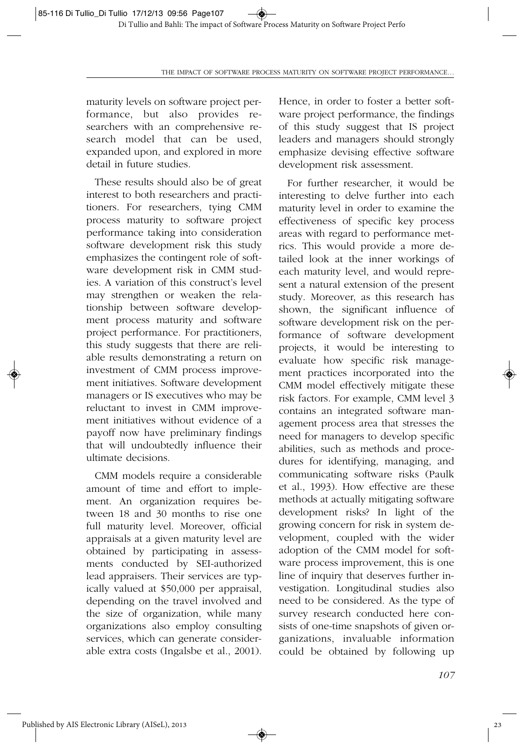maturity levels on software project performance, but also provides researchers with an comprehensive research model that can be used, expanded upon, and explored in more detail in future studies.

These results should also be of great interest to both researchers and practitioners. For researchers, tying CMM process maturity to software project performance taking into consideration software development risk this study emphasizes the contingent role of software development risk in CMM studies. A variation of this construct's level may strengthen or weaken the relationship between software development process maturity and software project performance. For practitioners, this study suggests that there are reliable results demonstrating a return on investment of CMM process improvement initiatives. Software development managers or IS executives who may be reluctant to invest in CMM improvement initiatives without evidence of a payoff now have preliminary findings that will undoubtedly influence their ultimate decisions.

CMM models require a considerable amount of time and effort to implement. An organization requires between 18 and 30 months to rise one full maturity level. Moreover, official appraisals at a given maturity level are obtained by participating in assessments conducted by SEI-authorized lead appraisers. Their services are typically valued at \$50,000 per appraisal, depending on the travel involved and the size of organization, while many organizations also employ consulting services, which can generate considerable extra costs (Ingalsbe et al., 2001).

Hence, in order to foster a better software project performance, the findings of this study suggest that IS project leaders and managers should strongly emphasize devising effective software development risk assessment.

For further researcher, it would be interesting to delve further into each maturity level in order to examine the effectiveness of specific key process areas with regard to performance metrics. This would provide a more detailed look at the inner workings of each maturity level, and would represent a natural extension of the present study. Moreover, as this research has shown, the significant influence of software development risk on the performance of software development projects, it would be interesting to evaluate how specific risk management practices incorporated into the CMM model effectively mitigate these risk factors. For example, CMM level 3 contains an integrated software management process area that stresses the need for managers to develop specific abilities, such as methods and procedures for identifying, managing, and communicating software risks (Paulk et al., 1993). How effective are these methods at actually mitigating software development risks? In light of the growing concern for risk in system development, coupled with the wider adoption of the CMM model for software process improvement, this is one line of inquiry that deserves further investigation. Longitudinal studies also need to be considered. As the type of survey research conducted here consists of one-time snapshots of given organizations, invaluable information could be obtained by following up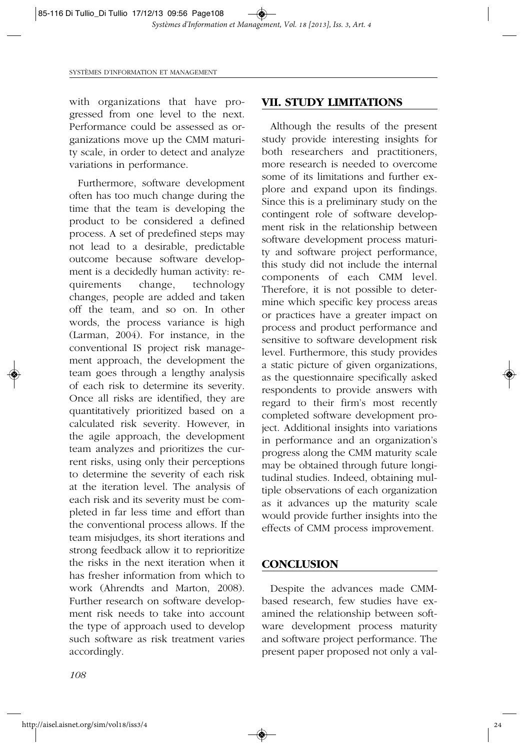with organizations that have progressed from one level to the next. Performance could be assessed as organizations move up the CMM maturity scale, in order to detect and analyze variations in performance.

Furthermore, software development often has too much change during the time that the team is developing the product to be considered a defined process. A set of predefined steps may not lead to a desirable, predictable outcome because software development is a decidedly human activity: requirements change, technology changes, people are added and taken off the team, and so on. In other words, the process variance is high (Larman, 2004). For instance, in the conventional IS project risk management approach, the development the team goes through a lengthy analysis of each risk to determine its severity. Once all risks are identified, they are quantitatively prioritized based on a calculated risk severity. However, in the agile approach, the development team analyzes and prioritizes the current risks, using only their perceptions to determine the severity of each risk at the iteration level. The analysis of each risk and its severity must be completed in far less time and effort than the conventional process allows. If the team misjudges, its short iterations and strong feedback allow it to reprioritize the risks in the next iteration when it has fresher information from which to work (Ahrendts and Marton, 2008). Further research on software development risk needs to take into account the type of approach used to develop such software as risk treatment varies accordingly.

#### **VII. STUDY LIMITATIONS**

Although the results of the present study provide interesting insights for both researchers and practitioners, more research is needed to overcome some of its limitations and further explore and expand upon its findings. Since this is a preliminary study on the contingent role of software development risk in the relationship between software development process maturity and software project performance, this study did not include the internal components of each CMM level. Therefore, it is not possible to determine which specific key process areas or practices have a greater impact on process and product performance and sensitive to software development risk level. Furthermore, this study provides a static picture of given organizations, as the questionnaire specifically asked respondents to provide answers with regard to their firm's most recently completed software development project. Additional insights into variations in performance and an organization's progress along the CMM maturity scale may be obtained through future longitudinal studies. Indeed, obtaining multiple observations of each organization as it advances up the maturity scale would provide further insights into the effects of CMM process improvement.

#### **CONCLUSION**

Despite the advances made CMMbased research, few studies have examined the relationship between software development process maturity and software project performance. The present paper proposed not only a val-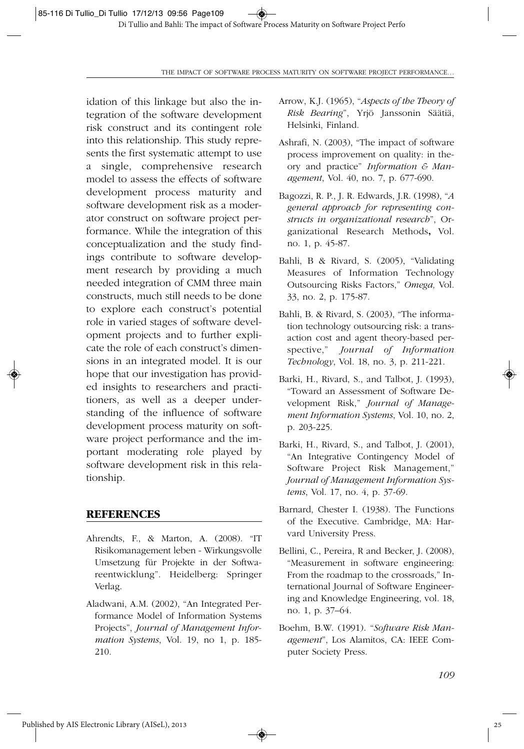idation of this linkage but also the integration of the software development risk construct and its contingent role into this relationship. This study represents the first systematic attempt to use a single, comprehensive research model to assess the effects of software development process maturity and software development risk as a moderator construct on software project performance. While the integration of this conceptualization and the study findings contribute to software development research by providing a much needed integration of CMM three main constructs, much still needs to be done to explore each construct's potential role in varied stages of software development projects and to further explicate the role of each construct's dimensions in an integrated model. It is our hope that our investigation has provided insights to researchers and practitioners, as well as a deeper understanding of the influence of software development process maturity on software project performance and the important moderating role played by software development risk in this relationship.

#### **REFERENCES**

- Ahrendts, F., & Marton, A. (2008). "IT Risikomanagement leben - Wirkungsvolle Umsetzung für Projekte in der Softwareentwicklung". Heidelberg: Springer Verlag.
- Aladwani, A.M. (2002), "An Integrated Performance Model of Information Systems Projects", *Journal of Management Information Systems*, Vol. 19, no 1, p. 185- 210.
- Arrow, K.J. (1965), "*Aspects of the Theory of Risk Bearing*", Yrjö Janssonin Säätiä, Helsinki, Finland.
- Ashrafi, N. (2003), "The impact of software process improvement on quality: in theory and practice" *Information & Management*, Vol. 40, no. 7, p. 677-690.
- Bagozzi, R. P., J. R. Edwards, J.R. (1998), "*A general approach for representing constructs in organizational research*", Organizational Research Methods**,** Vol. no. 1, p. 45-87.
- Bahli, B & Rivard, S. (2005), "Validating Measures of Information Technology Outsourcing Risks Factors," *Omega,* Vol. 33, no. 2, p. 175-87.
- Bahli, B. & Rivard, S. (2003), "The information technology outsourcing risk: a transaction cost and agent theory-based perspective," *Journal of Information Technology*, Vol. 18, no. 3, p. 211-221.
- Barki, H., Rivard, S., and Talbot, J. (1993), "Toward an Assessment of Software Development Risk," *Journal of Management Information Systems*, Vol. 10, no. 2, p. 203-225.
- Barki, H., Rivard, S., and Talbot, J. (2001), "An Integrative Contingency Model of Software Project Risk Management," *Journal of Management Information Systems*, Vol. 17, no. 4, p. 37-69.
- Barnard, Chester I. (1938). The Functions of the Executive. Cambridge, MA: Harvard University Press.
- Bellini, C., Pereira, R and Becker, J. (2008), "Measurement in software engineering: From the roadmap to the crossroads," International Journal of Software Engineering and Knowledge Engineering, vol. 18, no. 1, p. 37–64.
- Boehm, B.W. (1991). "*Software Risk Management*", Los Alamitos, CA: IEEE Computer Society Press.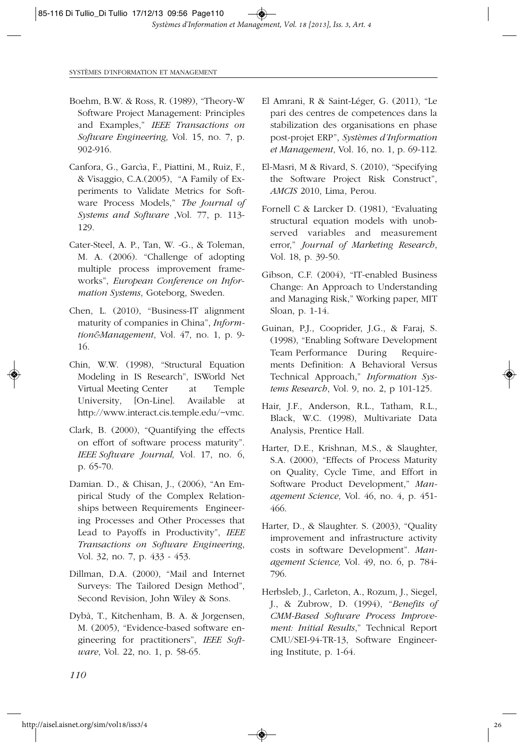- Boehm, B.W. & Ross, R. (1989), "Theory-W Software Project Management: Principles and Examples," *IEEE Transactions on Software Engineering,* Vol. 15, no. 7, p. 902-916.
- Canfora, G., Garcìa, F., Piattini, M., Ruiz, F., & Visaggio, C.A.(2005), "A Family of Experiments to Validate Metrics for Software Process Models," *The Journal of Systems and Software* ,Vol. 77, p. 113- 129.
- Cater-Steel, A. P., Tan, W. -G., & Toleman, M. A. (2006). "Challenge of adopting multiple process improvement frameworks", *European Conference on Information Systems*, Goteborg, Sweden.
- Chen, L. (2010), "Business-IT alignment maturity of companies in China", *Informtion&Management*, Vol. 47, no. 1, p. 9- 16.
- Chin, W.W. (1998), "Structural Equation Modeling in IS Research", ISWorld Net Virtual Meeting Center at Temple University, [On-Line]. Available at http://www.interact.cis.temple.edu/~vmc.
- Clark, B. (2000), "Quantifying the effects on effort of software process maturity". *IEEE Software Journal,* Vol*.* 17, no. 6, p. 65-70.
- Damian. D., & Chisan, J., (2006), "An Empirical Study of the Complex Relationships between Requirements Engineering Processes and Other Processes that Lead to Payoffs in Productivity", *IEEE Transactions on Software Engineering*, Vol. 32, no. 7, p. 433 - 453.
- Dillman, D.A. (2000), "Mail and Internet Surveys: The Tailored Design Method", Second Revision, John Wiley & Sons.
- Dybå, T., Kitchenham, B. A. & Jorgensen, M. (2005), "Evidence-based software engineering for practitioners", *IEEE Software*, Vol. 22, no. 1, p. 58-65.
- El Amrani, R & Saint-Léger, G. (2011), "Le pari des centres de competences dans la stabilization des organisations en phase post-projet ERP", *Systèmes d'Information et Management*, Vol. 16, no. 1, p. 69-112.
- El-Masri, M & Rivard, S. (2010), "Specifying the Software Project Risk Construct", *AMCIS* 2010, Lima, Perou.
- Fornell C & Larcker D. (1981), "Evaluating structural equation models with unobserved variables and measurement error," *Journal of Marketing Research*, Vol. 18, p. 39-50.
- Gibson, C.F. (2004), "IT-enabled Business Change: An Approach to Understanding and Managing Risk," Working paper, MIT Sloan, p. 1-14.
- Guinan, P.J., Cooprider, J.G., & Faraj, S. (1998), "Enabling Software Development Team Performance During Requirements Definition: A Behavioral Versus Technical Approach," *Information Systems Research*, Vol. 9, no. 2, p 101-125.
- Hair, J.F., Anderson, R.L., Tatham, R.L., Black, W.C. (1998), Multivariate Data Analysis, Prentice Hall.
- Harter, D.E., Krishnan, M.S., & Slaughter, S.A. (2000), "Effects of Process Maturity on Quality, Cycle Time, and Effort in Software Product Development," *Management Science*, Vol. 46, no. 4, p. 451- 466.
- Harter, D., & Slaughter. S. (2003), "Quality improvement and infrastructure activity costs in software Development". *Management Science,* Vol*.* 49, no. 6, p. 784- 796.
- Herbsleb, J., Carleton, A., Rozum, J., Siegel, J., & Zubrow, D. (1994), "*Benefits of CMM-Based Software Process Improvement: Initial Results*," Technical Report CMU/SEI-94-TR-13, Software Engineering Institute, p. 1-64.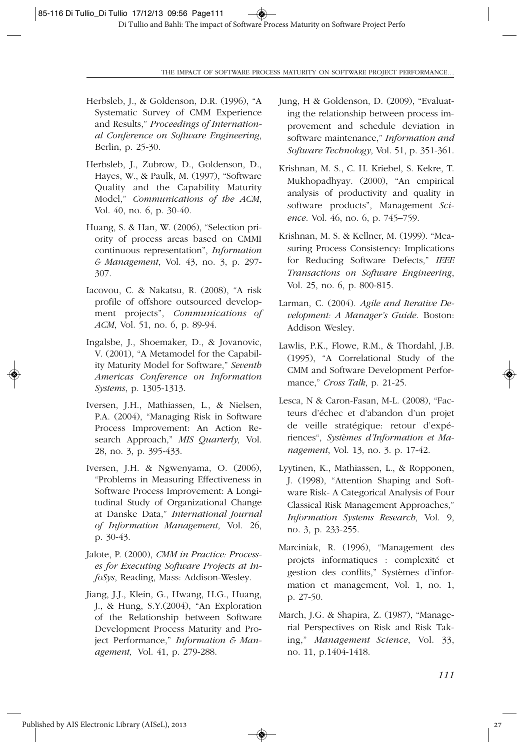- Herbsleb, J., & Goldenson, D.R. (1996), "A Systematic Survey of CMM Experience and Results," *Proceedings of International Conference on Software Engineering*, Berlin, p. 25-30.
- Herbsleb, J., Zubrow, D., Goldenson, D., Hayes, W., & Paulk, M. (1997), "Software Quality and the Capability Maturity Model," *Communications of the ACM*, Vol. 40, no. 6, p. 30-40.
- Huang, S. & Han, W. (2006), "Selection priority of process areas based on CMMI continuous representation", *Information & Management*, Vol. 43, no. 3, p. 297- 307.
- Iacovou, C. & Nakatsu, R. (2008), "A risk profile of offshore outsourced development projects", *Communications of ACM*, Vol. 51, no. 6, p. 89-94.
- Ingalsbe, J., Shoemaker, D., & Jovanovic, V. (2001), "A Metamodel for the Capability Maturity Model for Software," *Seventh Americas Conference on Information Systems*, p. 1305-1313.
- Iversen, J.H., Mathiassen, L., & Nielsen, P.A. (2004), "Managing Risk in Software Process Improvement: An Action Research Approach," *MIS Quarterly,* Vol. 28, no. 3, p. 395-433.
- Iversen, J.H. & Ngwenyama, O. (2006), "Problems in Measuring Effectiveness in Software Process Improvement: A Longitudinal Study of Organizational Change at Danske Data," *International Journal of Information Management*, Vol. 26, p. 30-43.
- Jalote, P. (2000), *CMM in Practice: Processes for Executing Software Projects at InfoSys*, Reading, Mass: Addison-Wesley.
- Jiang, J.J., Klein, G., Hwang, H.G., Huang, J., & Hung, S.Y.(2004), "An Exploration of the Relationship between Software Development Process Maturity and Project Performance," *Information & Management,* Vol. 41, p. 279-288.
- Jung, H & Goldenson, D. (2009), "Evaluating the relationship between process improvement and schedule deviation in software maintenance," *Information and Software Technology*, Vol. 51, p. 351-361.
- Krishnan, M. S., C. H. Kriebel, S. Kekre, T. Mukhopadhyay. (2000), "An empirical analysis of productivity and quality in software products", Management *Science*. Vol. 46, no. 6, p. 745–759.
- Krishnan, M. S. & Kellner, M. (1999). "Measuring Process Consistency: Implications for Reducing Software Defects," *IEEE Transactions on Software Engineering*, Vol. 25, no. 6, p. 800-815.
- Larman, C. (2004). *Agile and Iterative Development: A Manager's Guide*. Boston: Addison Wesley.
- Lawlis, P.K., Flowe, R.M., & Thordahl, J.B. (1995), "A Correlational Study of the CMM and Software Development Performance," *Cross Talk*, p. 21-25.
- Lesca, N & Caron-Fasan, M-L. (2008), "Facteurs d'échec et d'abandon d'un projet de veille stratégique: retour d'expériences", *Systèmes d'Information et Management*, Vol. 13, no. 3. p. 17-42.
- Lyytinen, K., Mathiassen, L., & Ropponen, J. (1998), "Attention Shaping and Software Risk- A Categorical Analysis of Four Classical Risk Management Approaches," *Information Systems Research,* Vol. 9, no. 3, p. 233-255.
- Marciniak, R. (1996), "Management des projets informatiques : complexité et gestion des conflits," Systèmes d'information et management, Vol. 1, no. 1, p. 27-50.
- March, J.G. & Shapira, Z. (1987), "Managerial Perspectives on Risk and Risk Taking," *Management Science*, Vol. 33, no. 11, p.1404-1418.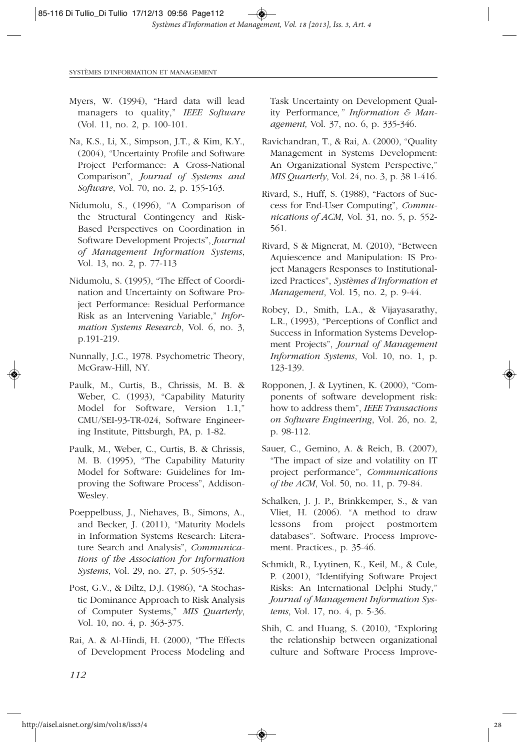- Myers, W. (1994), "Hard data will lead managers to quality," *IEEE Software* (Vol. 11, no. 2, p. 100-101.
- Na, K.S., Li, X., Simpson, J.T., & Kim, K.Y., (2004), "Uncertainty Profile and Software Project Performance: A Cross-National Comparison", *Journal of Systems and Software*, Vol. 70, no. 2, p. 155-163.
- Nidumolu, S., (1996), "A Comparison of the Structural Contingency and Risk-Based Perspectives on Coordination in Software Development Projects", *Journal of Management Information Systems*, Vol. 13, no. 2, p. 77-113
- Nidumolu, S. (1995), "The Effect of Coordination and Uncertainty on Software Project Performance: Residual Performance Risk as an Intervening Variable," *Information Systems Research*, Vol. 6, no. 3, p.191-219.
- Nunnally, J.C., 1978. Psychometric Theory, McGraw-Hill, NY.
- Paulk, M., Curtis, B., Chrissis, M. B. & Weber, C. (1993), "Capability Maturity Model for Software, Version 1.1," CMU/SEI-93-TR-024, Software Engineering Institute, Pittsburgh, PA, p. 1-82.
- Paulk, M., Weber, C., Curtis, B. & Chrissis, M. B. (1995), "The Capability Maturity Model for Software: Guidelines for Improving the Software Process", Addison-Wesley.
- Poeppelbuss, J., Niehaves, B., Simons, A., and Becker, J. (2011), "Maturity Models in Information Systems Research: Literature Search and Analysis", *Communications of the Association for Information Systems*, Vol. 29, no. 27, p. 505-532.
- Post, G.V., & Diltz, D.J. (1986), "A Stochastic Dominance Approach to Risk Analysis of Computer Systems," *MIS Quarterly*, Vol. 10, no. 4, p. 363-375.
- Rai, A. & Al-Hindi, H. (2000), "The Effects of Development Process Modeling and

Task Uncertainty on Development Quality Performance*," Information & Management,* Vol. 37, no. 6, p. 335-346.

- Ravichandran, T., & Rai, A. (2000), "Quality Management in Systems Development: An Organizational System Perspective," *MIS Quarterly*, Vol. 24, no. 3, p. 38 1-416.
- Rivard, S., Huff, S. (1988), "Factors of Success for End-User Computing", *Communications of ACM*, Vol. 31, no. 5, p. 552- 561.
- Rivard, S & Mignerat, M. (2010), "Between Aquiescence and Manipulation: IS Project Managers Responses to Institutionalized Practices", *Systèmes d'Information et Management*, Vol. 15, no. 2, p. 9-44.
- Robey, D., Smith, L.A., & Vijayasarathy, L.R., (1993), "Perceptions of Conflict and Success in Information Systems Development Projects", *Journal of Management Information Systems*, Vol. 10, no. 1, p. 123-139.
- Ropponen, J. & Lyytinen, K. (2000), "Components of software development risk: how to address them", *IEEE Transactions on Software Engineering*, Vol. 26, no. 2, p. 98-112.
- Sauer, C., Gemino, A. & Reich, B. (2007), "The impact of size and volatility on IT project performance", *Communications of the ACM*, Vol. 50, no. 11, p. 79-84.
- Schalken, J. J. P., Brinkkemper, S., & van Vliet, H. (2006). "A method to draw lessons from project postmortem databases". Software. Process Improvement. Practices., p. 35-46.
- Schmidt, R., Lyytinen, K., Keil, M., & Cule, P. (2001), "Identifying Software Project Risks: An International Delphi Study," *Journal of Management Information Systems*, Vol. 17, no. 4, p. 5-36.
- Shih, C. and Huang, S. (2010), "Exploring the relationship between organizational culture and Software Process Improve-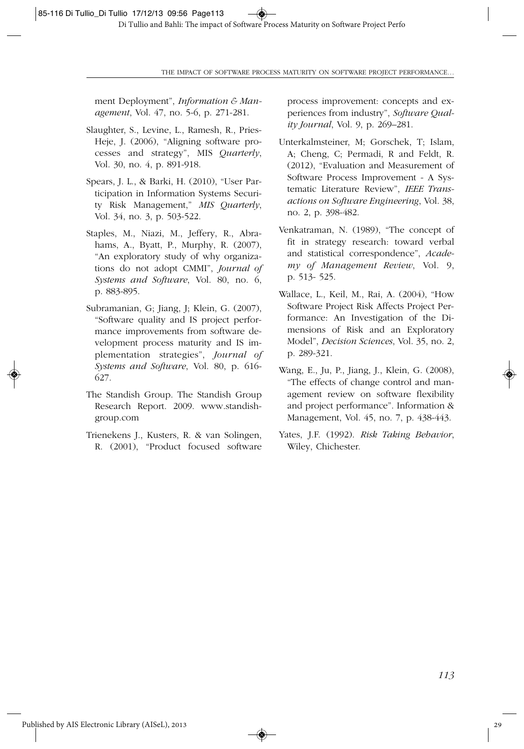ment Deployment", *Information & Management*, Vol. 47, no. 5-6, p. 271-281.

- Slaughter, S., Levine, L., Ramesh, R., Pries-Heje, J. (2006), "Aligning software processes and strategy", MIS *Quarterly*, Vol. 30, no. 4, p. 891-918.
- Spears, J. L., & Barki, H. (2010), "User Participation in Information Systems Security Risk Management," *MIS Quarterly*, Vol. 34, no. 3, p. 503-522.
- Staples, M., Niazi, M., Jeffery, R., Abrahams, A., Byatt, P., Murphy, R. (2007), "An exploratory study of why organizations do not adopt CMMI", *Journal of Systems and Software*, Vol. 80, no. 6, p. 883-895.
- Subramanian, G; Jiang, J; Klein, G. (2007), "Software quality and IS project performance improvements from software development process maturity and IS implementation strategies", *Journal of Systems and Software*, Vol. 80, p. 616- 627.
- The Standish Group. The Standish Group Research Report. 2009. www.standishgroup.com
- Trienekens J., Kusters, R. & van Solingen, R. (2001), "Product focused software

process improvement: concepts and experiences from industry", *Software Quality Journal*, Vol. 9, p. 269–281.

- Unterkalmsteiner, M; Gorschek, T; Islam, A; Cheng, C; Permadi, R and Feldt, R. (2012), "Evaluation and Measurement of Software Process Improvement - A Systematic Literature Review", *IEEE Transactions on Software Engineering*, Vol. 38, no. 2, p. 398-482.
- Venkatraman, N. (1989), "The concept of fit in strategy research: toward verbal and statistical correspondence", *Academy of Management Review*, Vol. 9, p. 513- 525.
- Wallace, L., Keil, M., Rai, A. (2004), "How Software Project Risk Affects Project Performance: An Investigation of the Dimensions of Risk and an Exploratory Model", *Decision Sciences*, Vol. 35, no. 2, p. 289-321.
- Wang, E., Ju, P., Jiang, J., Klein, G. (2008), "The effects of change control and management review on software flexibility and project performance". Information & Management, Vol. 45, no. 7, p. 438-443.
- Yates, J.F. (1992). *Risk Taking Behavior*, Wiley, Chichester.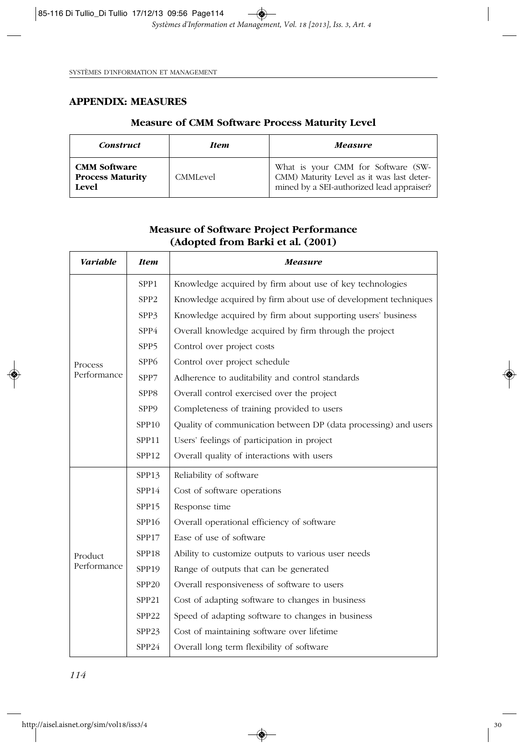## **APPENDIX: MEASURES**

## **Measure of CMM Software Process Maturity Level**

| <b>Construct</b>                                        | <b>Item</b> | <b>Measure</b>                                                                                                               |  |  |
|---------------------------------------------------------|-------------|------------------------------------------------------------------------------------------------------------------------------|--|--|
| <b>CMM Software</b><br><b>Process Maturity</b><br>Level | CMMLevel    | What is your CMM for Software (SW-<br>CMM) Maturity Level as it was last deter-<br>mined by a SEI-authorized lead appraiser? |  |  |

| (Adopted from Barki et al. (2001) |                   |                                                                 |  |  |  |
|-----------------------------------|-------------------|-----------------------------------------------------------------|--|--|--|
| <b>Variable</b>                   | <b>Item</b>       | <b>Measure</b>                                                  |  |  |  |
|                                   | SPP1              | Knowledge acquired by firm about use of key technologies        |  |  |  |
|                                   | SPP <sub>2</sub>  | Knowledge acquired by firm about use of development techniques  |  |  |  |
|                                   | SPP3              | Knowledge acquired by firm about supporting users' business     |  |  |  |
|                                   | SPP4              | Overall knowledge acquired by firm through the project          |  |  |  |
|                                   | SPP5              | Control over project costs                                      |  |  |  |
| Process                           | SPP <sub>6</sub>  | Control over project schedule                                   |  |  |  |
| Performance                       | SPP7              | Adherence to auditability and control standards                 |  |  |  |
|                                   | SPP8              | Overall control exercised over the project                      |  |  |  |
|                                   | SPP9              | Completeness of training provided to users                      |  |  |  |
|                                   | SPP <sub>10</sub> | Quality of communication between DP (data processing) and users |  |  |  |
|                                   | SPP11             | Users' feelings of participation in project                     |  |  |  |
|                                   | SPP12             | Overall quality of interactions with users                      |  |  |  |
|                                   | SPP13             | Reliability of software                                         |  |  |  |
|                                   | SPP <sub>14</sub> | Cost of software operations                                     |  |  |  |
|                                   | SPP15             | Response time                                                   |  |  |  |
|                                   | SPP16             | Overall operational efficiency of software                      |  |  |  |
| Product<br>Performance            | SPP17             | Ease of use of software                                         |  |  |  |
|                                   | SPP <sub>18</sub> | Ability to customize outputs to various user needs              |  |  |  |
|                                   | SPP <sub>19</sub> | Range of outputs that can be generated                          |  |  |  |
|                                   | SPP20             | Overall responsiveness of software to users                     |  |  |  |
|                                   | SPP21             | Cost of adapting software to changes in business                |  |  |  |
|                                   | SPP <sub>22</sub> | Speed of adapting software to changes in business               |  |  |  |
|                                   | SPP <sub>23</sub> | Cost of maintaining software over lifetime                      |  |  |  |
|                                   | SPP24             | Overall long term flexibility of software                       |  |  |  |

◈

# **Measure of Software Project Performance**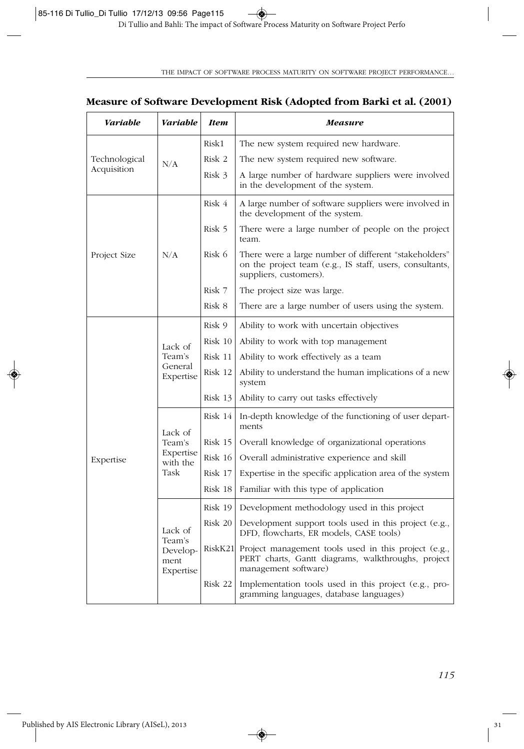## **Measure of Software Development Risk (Adopted from Barki et al. (2001)**

| <b>Variable</b>              | <b>Variable</b>                                    | <b>Item</b> | Measure                                                                                                                                     |  |
|------------------------------|----------------------------------------------------|-------------|---------------------------------------------------------------------------------------------------------------------------------------------|--|
| Technological<br>Acquisition | N/A                                                | Risk1       | The new system required new hardware.                                                                                                       |  |
|                              |                                                    | Risk 2      | The new system required new software.                                                                                                       |  |
|                              |                                                    | Risk 3      | A large number of hardware suppliers were involved<br>in the development of the system.                                                     |  |
| Project Size                 | N/A                                                | Risk 4      | A large number of software suppliers were involved in<br>the development of the system.                                                     |  |
|                              |                                                    | Risk 5      | There were a large number of people on the project<br>team.                                                                                 |  |
|                              |                                                    | Risk 6      | There were a large number of different "stakeholders"<br>on the project team (e.g., IS staff, users, consultants,<br>suppliers, customers). |  |
|                              |                                                    | Risk 7      | The project size was large.                                                                                                                 |  |
|                              |                                                    | Risk 8      | There are a large number of users using the system.                                                                                         |  |
|                              | Lack of<br>Team's<br>General<br>Expertise          | Risk 9      | Ability to work with uncertain objectives                                                                                                   |  |
|                              |                                                    | Risk 10     | Ability to work with top management                                                                                                         |  |
|                              |                                                    | Risk 11     | Ability to work effectively as a team                                                                                                       |  |
|                              |                                                    | Risk 12     | Ability to understand the human implications of a new<br>system                                                                             |  |
|                              |                                                    | Risk 13     | Ability to carry out tasks effectively                                                                                                      |  |
|                              | Lack of<br>Team's<br>Expertise<br>with the<br>Task | Risk 14     | In-depth knowledge of the functioning of user depart-<br>ments                                                                              |  |
|                              |                                                    | Risk 15     | Overall knowledge of organizational operations                                                                                              |  |
| Expertise                    |                                                    | $Risk$ 16   | Overall administrative experience and skill                                                                                                 |  |
|                              |                                                    | Risk 17     | Expertise in the specific application area of the system                                                                                    |  |
|                              |                                                    | Risk 18     | Familiar with this type of application                                                                                                      |  |
|                              | Lack of<br>Team's<br>Develop-<br>ment<br>Expertise | Risk 19     | Development methodology used in this project                                                                                                |  |
|                              |                                                    | Risk 20     | Development support tools used in this project (e.g.,<br>DFD, flowcharts, ER models, CASE tools)                                            |  |
|                              |                                                    |             | RiskK21 Project management tools used in this project (e.g.,<br>PERT charts, Gantt diagrams, walkthroughs, project<br>management software)  |  |
|                              |                                                    | Risk 22     | Implementation tools used in this project (e.g., pro-<br>gramming languages, database languages)                                            |  |

 $\overline{\bullet}$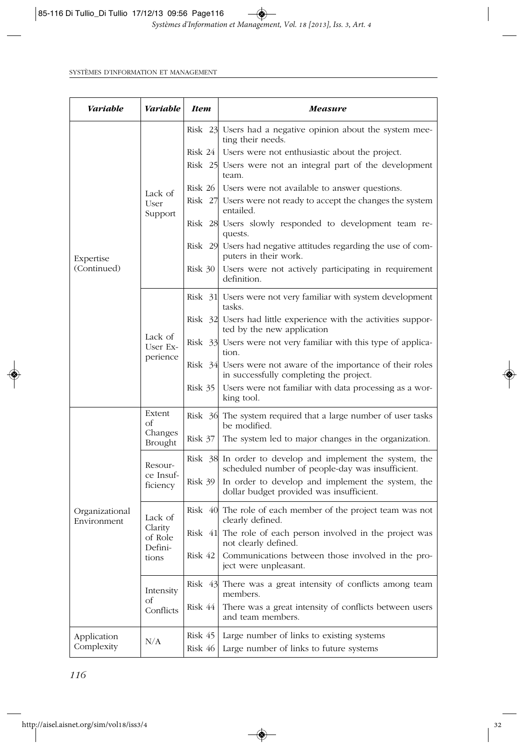| Variable                      | <b>Variable</b>                                   | <b>Item</b> | Measure                                                                                                       |  |
|-------------------------------|---------------------------------------------------|-------------|---------------------------------------------------------------------------------------------------------------|--|
|                               | Lack of<br>User<br>Support                        |             | Risk 23 Users had a negative opinion about the system mee-<br>ting their needs.                               |  |
|                               |                                                   |             | Risk 24   Users were not enthusiastic about the project.                                                      |  |
|                               |                                                   |             | Risk 25 Users were not an integral part of the development<br>team.                                           |  |
|                               |                                                   |             | Risk 26   Users were not available to answer questions.                                                       |  |
|                               |                                                   |             | Risk 27 Users were not ready to accept the changes the system<br>entailed.                                    |  |
|                               |                                                   |             | Risk 28 Users slowly responded to development team re-<br>quests.                                             |  |
| Expertise                     |                                                   |             | Risk 29 Users had negative attitudes regarding the use of com-<br>puters in their work.                       |  |
| (Continued)                   |                                                   | Risk 30     | Users were not actively participating in requirement<br>definition.                                           |  |
|                               |                                                   |             | Risk 31 Users were not very familiar with system development<br>tasks.                                        |  |
|                               |                                                   |             | Risk 32 Users had little experience with the activities suppor-<br>ted by the new application                 |  |
|                               | Lack of<br>User Ex-<br>perience                   |             | Risk 33 Users were not very familiar with this type of applica-<br>tion.                                      |  |
|                               |                                                   |             | Risk 34 Users were not aware of the importance of their roles<br>in successfully completing the project.      |  |
|                               |                                                   | Risk 35     | Users were not familiar with data processing as a wor-<br>king tool.                                          |  |
|                               | Extent<br>оf<br>Changes<br>Brought                |             | Risk 36 The system required that a large number of user tasks<br>be modified.                                 |  |
|                               |                                                   | $Risk$ 37   | The system led to major changes in the organization.                                                          |  |
|                               | Resour-<br>ce Insuf-<br>ficiency                  |             | Risk 38 In order to develop and implement the system, the<br>scheduled number of people-day was insufficient. |  |
|                               |                                                   | Risk 39     | In order to develop and implement the system, the<br>dollar budget provided was insufficient.                 |  |
| Organizational<br>Environment | Lack of<br>Clarity<br>of Role<br>Defini-<br>tions |             | Risk 40 The role of each member of the project team was not<br>clearly defined.                               |  |
|                               |                                                   | Risk 41     | The role of each person involved in the project was<br>not clearly defined.                                   |  |
|                               |                                                   | Risk 42     | Communications between those involved in the pro-<br>ject were unpleasant.                                    |  |
|                               | Intensity<br>Οf<br>Conflicts                      |             | Risk 43 There was a great intensity of conflicts among team<br>members.                                       |  |
|                               |                                                   | Risk 44     | There was a great intensity of conflicts between users<br>and team members.                                   |  |
| Application                   |                                                   | Risk 45     | Large number of links to existing systems                                                                     |  |
| Complexity                    | N/A                                               | Risk 46     | Large number of links to future systems                                                                       |  |

◈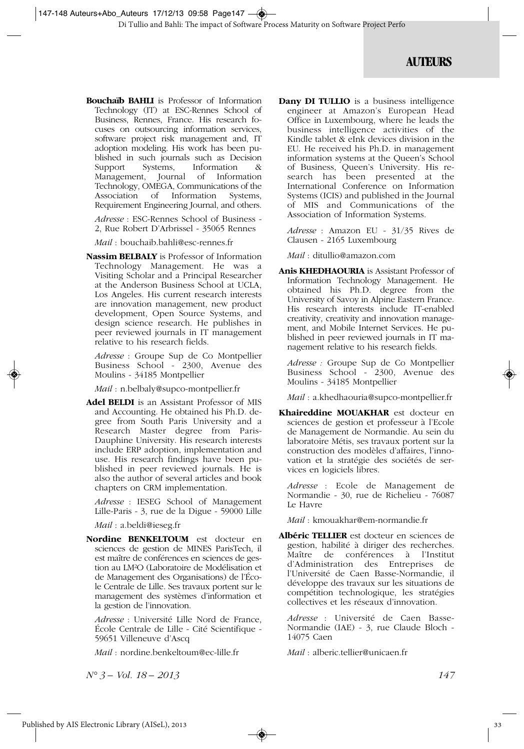## **AUTEURS**

**Bouchaïb BAHLI** is Professor of Information Technology (IT) at ESC-Rennes School of Business, Rennes, France. His research focuses on outsourcing information services, software project risk management and, IT adoption modeling. His work has been published in such journals such as Decision<br>Support Systems, Information & Support Systems, Information & Management, Journal of Information Technology, OMEGA, Communications of the Association of Information Systems, Requirement Engineering Journal, and others.

*Adresse* : ESC-Rennes School of Business - 2, Rue Robert D'Arbrissel - 35065 Rennes

*Mail* : bouchaib.bahli@esc-rennes.fr

**Nassim BELBALY** is Professor of Information Technology Management. He was a Visiting Scholar and a Principal Researcher at the Anderson Business School at UCLA, Los Angeles. His current research interests are innovation management, new product development, Open Source Systems, and design science research. He publishes in peer reviewed journals in IT management relative to his research fields.

*Adresse* : Groupe Sup de Co Montpellier Business School - 2300, Avenue des Moulins - 34185 Montpellier

*Mail* : n.belbaly@supco-montpellier.fr

**Adel BELDI** is an Assistant Professor of MIS and Accounting. He obtained his Ph.D. degree from South Paris University and a Research Master degree from Paris-Dauphine University. His research interests include ERP adoption, implementation and use. His research findings have been published in peer reviewed journals. He is also the author of several articles and book chapters on CRM implementation.

*Adresse* : IESEG School of Management Lille-Paris - 3, rue de la Digue - 59000 Lille

*Mail* : a.beldi@ieseg.fr

**Nordine BENKELTOUM** est docteur en sciences de gestion de MINES ParisTech, il est maître de conférences en sciences de gestion au LM²O (Laboratoire de Modélisation et de Management des Organisations) de l'École Centrale de Lille. Ses travaux portent sur le management des systèmes d'information et la gestion de l'innovation.

*Adresse* : Université Lille Nord de France, École Centrale de Lille - Cité Scientifique - 59651 Villeneuve d'Ascq

*Mail* : nordine.benkeltoum@ec-lille.fr

*N° 3 – Vol. 18 – 2013 147*

**Dany DI TULLIO** is a business intelligence engineer at Amazon's European Head Office in Luxembourg, where he leads the business intelligence activities of the Kindle tablet & eInk devices division in the EU. He received his Ph.D. in management information systems at the Queen's School of Business, Queen's University. His research has been presented at the International Conference on Information Systems (ICIS) and published in the Journal of MIS and Communications of the Association of Information Systems.

*Adresse* : Amazon EU - 31/35 Rives de Clausen - 2165 Luxembourg

*Mail* : ditullio@amazon.com

**Anis KHEDHAOURIA** is Assistant Professor of Information Technology Management. He obtained his Ph.D. degree from the University of Savoy in Alpine Eastern France. His research interests include IT-enabled creativity, creativity and innovation management, and Mobile Internet Services. He published in peer reviewed journals in IT management relative to his research fields.

*Adresse :* Groupe Sup de Co Montpellier Business School - 2300, Avenue des Moulins - 34185 Montpellier

*Mail* : a.khedhaouria@supco-montpellier.fr

**Khaireddine MOUAKHAR** est docteur en sciences de gestion et professeur à l'Ecole de Management de Normandie. Au sein du laboratoire Métis, ses travaux portent sur la construction des modèles d'affaires, l'innovation et la stratégie des sociétés de services en logiciels libres.

*Adresse* : Ecole de Management de Normandie - 30, rue de Richelieu - 76087 Le Havre

*Mail* : kmouakhar@em-normandie.fr

**Albéric TELLIER** est docteur en sciences de gestion, habilité à diriger des recherches. Maître de conférences à l'Institut d'Administration des Entreprises de l'Université de Caen Basse-Normandie, il développe des travaux sur les situations de compétition technologique, les stratégies collectives et les réseaux d'innovation.

*Adresse* : Université de Caen Basse-Normandie (IAE) - 3, rue Claude Bloch - 14075 Caen

*Mail* : alberic.tellier@unicaen.fr

◈